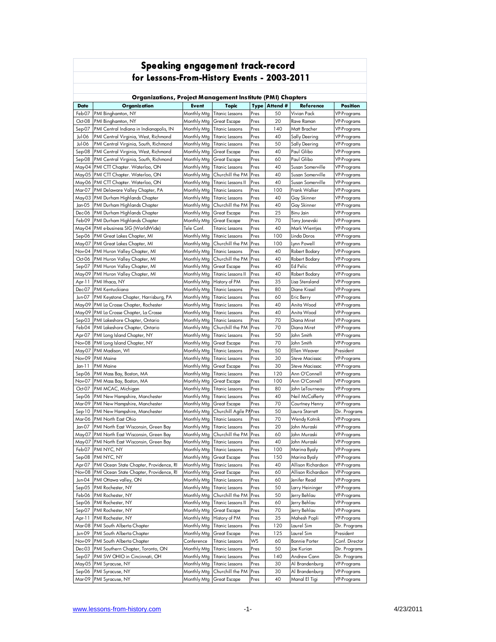| Speaking engagement track-record                           |                                                                               |                            |                                                  |              |            |                                    |                                          |
|------------------------------------------------------------|-------------------------------------------------------------------------------|----------------------------|--------------------------------------------------|--------------|------------|------------------------------------|------------------------------------------|
| for Lessons-From-History Events - 2003-2011                |                                                                               |                            |                                                  |              |            |                                    |                                          |
| Organizations, Project Management Institute (PMI) Chapters |                                                                               |                            |                                                  |              |            |                                    |                                          |
| <b>Date</b>                                                | <b>Organization</b>                                                           | <b>Event</b>               | <b>Topic</b>                                     | <b>Type</b>  | Attend #   | Reference                          | <b>Position</b>                          |
| Feb-07                                                     | PMI Binghamton, NY                                                            | Monthly Mtg                | <b>Titanic Lessons</b>                           | Pres         | 50         | Vivian Pack                        | <b>VP-Programs</b>                       |
| Oct-08                                                     | PMI Binghamton, NY                                                            | Monthly Mtg                | Great Escape                                     | Pres         | 20         | Rave Raman                         | <b>VP-Programs</b>                       |
| Sep-07                                                     | PMI Central Indiana in Indianapolis, IN                                       | Monthly Mtg                | <b>Titanic Lessons</b>                           | Pres         | 140        | Matt Bracher                       | <b>VP-Programs</b>                       |
| Jul-06                                                     | PMI Central Virginia, West, Richmond                                          | Monthly Mtg                | <b>Titanic Lessons</b>                           | Pres         | 40         | Sally Deering                      | <b>VP-Programs</b>                       |
| Jul-06<br>Sep-08                                           | PMI Central Virginia, South, Richmond<br>PMI Central Virginia, West, Richmond | Monthly Mtg<br>Monthly Mtg | <b>Titanic Lessons</b><br><b>Great Escape</b>    | Pres<br>Pres | 50<br>40   | Sally Deering<br>Paul Glibo        | <b>VP-Programs</b><br><b>VP-Programs</b> |
| Sep-08                                                     | PMI Central Virginia, South, Richmond                                         | Monthly Mtg                | <b>Great Escape</b>                              | Pres         | 60         | Paul Glibo                         | <b>VP-Programs</b>                       |
| May-04                                                     | PMI CTT Chapter. Waterloo, ON                                                 | Monthly Mtg                | <b>Titanic Lessons</b>                           | Pres         | 40         | Susan Somerville                   | <b>VP-Programs</b>                       |
| May-05                                                     | PMI CTT Chapter. Waterloo, ON                                                 | Monthly Mtg                | Churchill the PM                                 | Pres         | 40         | Susan Somerville                   | <b>VP-Programs</b>                       |
|                                                            | May-06 PMI CTT Chapter. Waterloo, ON                                          | Monthly Mtg                | Titanic Lessons II                               | Pres         | 40         | Susan Somerville                   | VP-Programs                              |
| Mar-07                                                     | PMI Delaware Valley Chapter, PA                                               | Monthly Mtg                | <b>Titanic Lessons</b>                           | Pres         | 100        | Frank Walker                       | <b>VP-Programs</b>                       |
|                                                            | May-03 PMI Durham Highlands Chapter                                           | Monthly Mtg                | <b>Titanic Lessons</b>                           | Pres         | 40         | Gay Skinner                        | <b>VP-Programs</b>                       |
| Jan-05                                                     | PMI Durham Highlands Chapter                                                  | Monthly Mtg                | Churchill the PM                                 | Pres         | 40         | Gay Skinner                        | <b>VP-Programs</b>                       |
| Dec-06                                                     | PMI Durham Highlands Chapter                                                  | Monthly Mtg                | <b>Great Escape</b>                              | Pres         | 25         | Binu Jain                          | <b>VP-Programs</b>                       |
| Feb-09                                                     | PMI Durham Highlands Chapter                                                  | Monthly Mtg                | <b>Great Escape</b>                              | Pres         | 70         | Tony Jonevski                      | <b>VP-Programs</b>                       |
|                                                            | May-04 PMI e-business SIG (WorldWide)                                         | Tele Conf.                 | <b>Titanic Lessons</b>                           | Pres         | 40         | Mark Wientjes                      | VP-Programs                              |
| Sep-06<br>May-07                                           | PMI Great Lakes Chapter, MI<br>PMI Great Lakes Chapter, MI                    | Monthly Mtg<br>Monthly Mtg | <b>Titanic Lessons</b><br>Churchill the PM       | Pres<br>Pres | 100<br>100 | Linda Doros<br>Lynn Powell         | <b>VP-Programs</b><br><b>VP-Programs</b> |
| Nov-04                                                     | PMI Huron Valley Chapter, MI                                                  | Monthly Mtg                | <b>Titanic Lessons</b>                           | Pres         | 40         | Robert Bodary                      | <b>VP-Programs</b>                       |
| Oct-06                                                     | PMI Huron Valley Chapter, MI                                                  | Monthly Mtg                | Churchill the PM                                 | Pres         | 40         | Robert Bodary                      | <b>VP-Programs</b>                       |
| Sep-07                                                     | PMI Huron Valley Chapter, MI                                                  | Monthly Mtg                | <b>Great Escape</b>                              | Pres         | 40         | <b>Ed Pelic</b>                    | <b>VP-Programs</b>                       |
|                                                            | May-09 PMI Huron Valley Chapter, MI                                           | Monthly Mtg                | <b>Titanic Lessons II</b>                        | Pres         | 40         | Robert Bodary                      | <b>VP-Programs</b>                       |
| Apr-11                                                     | PMI Ithaca, NY                                                                | Monthly Mtg                | History of PM                                    | Pres         | 35         | Lisa Stensland                     | <b>VP-Programs</b>                       |
| Dec-07                                                     | PMI Kentuckiana                                                               | Monthly Mtg                | <b>Titanic Lessons</b>                           | Pres         | 80         | Diane Kissel                       | <b>VP-Programs</b>                       |
| Jun-07                                                     | PMI Keystone Chapter, Harrisburg, PA                                          | Monthly Mtg                | <b>Titanic Lessons</b>                           | Pres         | 60         | Eric Berry                         | <b>VP-Programs</b>                       |
| May-09                                                     | PMI La Crosse Chapter, Rochester                                              | Monthly Mtg                | <b>Titanic Lessons</b>                           | Pres         | 40         | Anita Wood                         | <b>VP-Programs</b>                       |
| May-09                                                     | PMI La Crosse Chapter, La Crosse                                              | Monthly Mtg                | <b>Titanic Lessons</b>                           | Pres         | 40         | Anita Wood                         | <b>VP-Programs</b>                       |
| SepO3                                                      | PMI Lakeshore Chapter, Ontario                                                | Monthly Mtg                | <b>Titanic Lessons</b>                           | Pres         | 70         | Diana Miret                        | <b>VP-Programs</b>                       |
| Feb-04                                                     | PMI Lakeshore Chapter, Ontario                                                | Monthly Mtg                | Churchill the PM                                 | Pres         | 70         | Diana Miret                        | <b>VP-Programs</b>                       |
| Apr-07<br>Nov-08                                           | PMI Long Island Chapter, NY<br>PMI Long Island Chapter, NY                    | Monthly Mtg                | <b>Titanic Lessons</b><br>Great Escape           | Pres<br>Pres | 50<br>70   | John Smith<br>John Smith           | <b>VP-Programs</b><br><b>VP-Programs</b> |
| May-07                                                     | PMI Madison, WI                                                               | Monthly Mtg<br>Monthly Mtg | <b>Titanic Lessons</b>                           | Pres         | 50         | Ellen Weaver                       | President                                |
| Nov-09                                                     | <b>PMI</b> Maine                                                              | Monthly Mtg                | <b>Titanic Lessons</b>                           | Pres         | 30         | Steve Macissac                     | <b>VP-Programs</b>                       |
| Jan-11                                                     | <b>PMI Maine</b>                                                              | Monthly Mtg                | Great Escape                                     | Pres         | 30         | Steve Macissac                     | <b>VP-Programs</b>                       |
| Sep-06                                                     | PMI Mass Bay, Boston, MA                                                      | Monthly Mta                | <b>Titanic Lessons</b>                           | Pres         | 120        | Ann O'Connell                      | <b>VP-Programs</b>                       |
| Nov-07                                                     | PMI Mass Bay, Boston, MA                                                      | Monthly Mtg                | <b>Great Escape</b>                              | Pres         | 100        | Ann O'Connell                      | <b>VP-Programs</b>                       |
| Oct-07                                                     | PMI MCAC, Michigan                                                            | Monthly Mtg                | <b>Titanic Lessons</b>                           | Pres         | 80         | John LeTourneau                    | <b>VP-Programs</b>                       |
| Sep-06                                                     | PMI New Hampshire, Manchester                                                 | Monthly Mtg                | <b>Titanic Lessons</b>                           | Pres         | 40         | Neil McCafferty                    | <b>VP-Programs</b>                       |
| Mar-09                                                     | PMI New Hampshire, Manchester                                                 | Monthly Mtg                | Great Escape                                     | Pres         | 70         | Courtney Henry                     | <b>VP-Programs</b>                       |
| Sep-10                                                     | PMI New Hampshire, Manchester                                                 | Monthly Mtg                | Churchill Agile PI Pres                          |              | 50         | Laura Starrett                     | Dir. Programs                            |
| Mar-06                                                     | PMI North East Ohio                                                           |                            | Monthly Mtg Titanic Lessons                      | Pres         | 70         | Wendy Kotnik                       | <b>VP-Programs</b>                       |
| Jan-07                                                     | PMI North East Wisconsin, Green Bay                                           |                            | Monthly Mtg   Titanic Lessons                    | Pres         | 20         | John Muraski                       | VP-Programs                              |
| May-07<br>May-07                                           | PMI North East Wisconsin, Green Bay<br>PMI North East Wisconsin, Green Bay    | Monthly Mtg<br>Monthly Mtg | Churchill the PM<br><b>Titanic Lessons</b>       | Pres<br>Pres | 60<br>40   | John Muraski<br>John Muraski       | VP-Programs<br>VP-Programs               |
| Feb-07                                                     | PMI NYC, NY                                                                   | Monthly Mtg                | <b>Titanic Lessons</b>                           | Pres         | 100        | Marina Byaly                       | VP-Programs                              |
| Sep-08                                                     | PMI NYC, NY                                                                   | Monthly Mtg                | <b>Great Escape</b>                              | Pres         | 150        | Marina Byaly                       | <b>VP-Programs</b>                       |
| Apr-07                                                     | PMI Ocean State Chapter, Providence, RI                                       | Monthly Mtg                | <b>Titanic Lessons</b>                           | Pres         | 40         | Allison Richardson                 | <b>VP-Programs</b>                       |
| Nov-08                                                     | PMI Ocean State Chapter, Providence, RI                                       | Monthly Mtg                | Great Escape                                     | Pres         | 60         | Allison Richardson                 | <b>VP-Programs</b>                       |
| Jun-04                                                     | PMI Ottawa valley, ON                                                         | Monthly Mtg                | <b>Titanic Lessons</b>                           | Pres         | 60         | Jenifer Read                       | <b>VP-Programs</b>                       |
| Sep-05                                                     | PMI Rochester, NY                                                             | Monthly Mtg                | <b>Titanic Lessons</b>                           | Pres         | 50         | Larry Heininger                    | <b>VP-Programs</b>                       |
| Feb-06                                                     | PMI Rochester, NY                                                             | Monthly Mtg                | Churchill the PM                                 | Pres         | 50         | Jerry Behlau                       | VP-Programs                              |
| Sep-06                                                     | PMI Rochester, NY                                                             | Monthly Mtg                | <b>Titanic Lessons II</b>                        | Pres         | 60         | Jerry Behlau                       | VP-Programs                              |
| Sep-07                                                     | PMI Rochester, NY                                                             | Monthly Mtg                | <b>Great Escape</b>                              | Pres         | 70         | Jerry Behlau                       | VP-Programs                              |
| Apr-11                                                     | PMI Rochester, NY                                                             | Monthly Mtg                | History of PM                                    | Pres         | 35         | Mahesh Popli                       | VP-Programs                              |
| Mar-08                                                     | PMI South Alberta Chapter                                                     | Monthly Mtg                | <b>Titanic Lessons</b>                           | Pres         | 120        | Laurel Sim                         | Dir. Programs                            |
| Jun-09                                                     | PMI South Alberta Chapter                                                     | Monthly Mtg                | Great Escape                                     | Pres<br>WS   | 125        | Laurel Sim                         | President                                |
| Nov-09<br>Dec-03                                           | PMI South Alberta Chapter<br>PMI Southern Chapter, Toronto, ON                | Conference<br>Monthly Mtg  | <b>Titanic Lessons</b><br><b>Titanic Lessons</b> | Pres         | 60<br>50   | <b>Bonnie Porter</b><br>Joe Kurian | Conf. Director<br>Dir. Programs          |
| Sep-07                                                     | PMI SW OHIO in Cincinnati, OH                                                 | Monthly Mtg                | <b>Titanic Lessons</b>                           | Pres         | 140        | Andrew Cann                        | Dir. Programs                            |
|                                                            | May-05 PMI Syracuse, NY                                                       | Monthly Mtg                | <b>Titanic Lessons</b>                           | Pres         | 30         | Al Brandenburg                     | VP-Programs                              |
| Sep-06                                                     | PMI Syracuse, NY                                                              | Monthly Mtg                | Churchill the PM                                 | Pres         | 30         | Al Brandenburg                     | VP-Programs                              |
|                                                            | Mar-09 PMI Syracuse, NY                                                       | Monthly Mtg                | <b>Great Escape</b>                              | Pres         | 40         | Manal El Tigi                      | VP-Programs                              |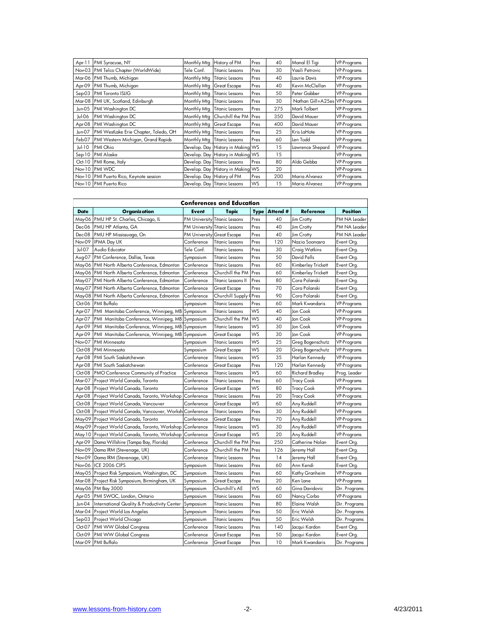| Date          | Organization                            | Event       | <b>Tonic</b>                      | <b>Tyne</b> | Attend # | <b>Reference</b>              | Position           |
|---------------|-----------------------------------------|-------------|-----------------------------------|-------------|----------|-------------------------------|--------------------|
|               |                                         |             | <b>Conferences and Education</b>  |             |          |                               |                    |
|               |                                         |             |                                   |             |          |                               |                    |
|               | Nov-10 PMI Puerto Rico                  |             | Develop. Day Titanic Lessons      | WS          | 15       | Maria Alvanez                 | <b>VP-Programs</b> |
|               | Nov-10 PMI Puerto Rico, Keynote session |             | Develop. Day History of PM        | Pres        | 200      | Maria Alvanez                 | <b>VP-Programs</b> |
| <b>Nov-10</b> | PMI WDC                                 |             | Develop. Day History in Making WS |             | 20       |                               | <b>VP-Programs</b> |
| Oct-10        | PMI Rome, Italy                         |             | Develop. Day Titanic Lessons      | Pres        | 80       | Aldo Gebba                    | <b>VP-Programs</b> |
| Sep-10        | PMI Alaska                              |             | Develop. Day History in Making WS |             | 15       |                               | <b>VP-Programs</b> |
| $Ju$ -10      | PMI Ohio                                |             | Develop. Day History in Making WS |             | 15       | Lawrence Shepard              | <b>VP-Programs</b> |
| Feb-07        | PMI Western Michigan, Grand Rapids      |             | Monthly Mtg Titanic Lessons       | Pres        | 60       | Len Todd                      | <b>VP-Programs</b> |
| Jun-07        | PMI WestLake Erie Chapter, Toledo, OH   | Monthly Mtg | <b>Titanic Lessons</b>            | Pres        | 25       | Kris LaHote                   | <b>VP-Programs</b> |
| Apr-08        | PMI Washington DC                       | Monthly Mtg | <b>Great Escape</b>               | Pres        | 400      | David Mauer                   | <b>VP-Programs</b> |
| Jul-06        | PMI Washington DC                       |             | Monthly Mtg Churchill the PM      | Pres        | 350      | David Mauer                   | <b>VP-Programs</b> |
| Jun-05        | PMI Washington DC                       | Monthly Mtg | <b>Titanic Lessons</b>            | Pres        | 275      | Mark Tolbert                  | <b>VP-Programs</b> |
| Mar-08        | PMI UK, Scotland, Edinburgh             | Monthly Mtg | <b>Titanic Lessons</b>            | Pres        | 30       | Nathan Gill+A25es VP-Programs |                    |
| Sep03         | <b>PMI Toronto ISLIG</b>                | Monthly Mtg | <b>Titanic Lessons</b>            | Pres        | 50       | Peter Gabber                  | <b>VP-Programs</b> |
| Apr-09        | PMI Thumb, Michigan                     | Monthly Mtg | <b>Great Escape</b>               | Pres        | 40       | Kevin McClellan               | <b>VP-Programs</b> |
| Mar-06        | PMI Thumb, Michigan                     | Monthly Mtg | <b>Titanic Lessons</b>            | Pres        | 40       | Laurie Davis                  | <b>VP-Programs</b> |
| Nov-03        | PMI Telco Chapter (WorldWide)           | Tele Conf.  | Titanic Lessons                   | Pres        | 30       | Vasili Petrovic               | <b>VP-Programs</b> |
| Apr-11        | PMI Syracuse, NY                        | Monthly Mtg | History of PM                     | Pres        | 40       | Manal El Tigi                 | <b>VP-Programs</b> |

| Conferences and Education |                                               |                                   |                               |             |          |                        |                    |
|---------------------------|-----------------------------------------------|-----------------------------------|-------------------------------|-------------|----------|------------------------|--------------------|
| <b>Date</b>               | <b>Organization</b>                           | <b>Event</b>                      | <b>Topic</b>                  | <b>Type</b> | Attend # | Reference              | <b>Position</b>    |
| May-06                    | PMU HP St. Charles, Chicago, IL               | <b>PM University</b>              | Titanic Lessons               | Pres        | 40       | Jim Crotty             | PM NA Leader       |
| Dec-06                    | PMU HP Atlanta, GA                            |                                   | PM University Titanic Lessons | Pres        | 40       | <b>Jim Crotty</b>      | PM NA Leader       |
| Dec-08                    | PMU HP Mississuaga, On                        | <b>PM University Great Escape</b> |                               | Pres        | 40       | Jim Crotty             | PM NA Leader       |
| Nov-09                    | <b>IPMA Day UK</b>                            | Conference                        | <b>Titanic Lessons</b>        | Pres        | 120      | Nazia Soonasra         | Event Org.         |
| Jul-07                    | Audio Educator                                | Tele Conf.                        | Titanic Lessons               | Pres        | 30       | Craig Watkins          | Event Org.         |
| Aug-07                    | PM Conference, Dallas, Texas                  | Symposium                         | <b>Titanic Lessons</b>        | Pres        | 50       | David Pells            | Event Org.         |
| May-06                    | PMI North Alberta Conference, Edmonton        | Conference                        | Titanic Lessons               | Pres        | 60       | Kimberley Trickett     | Event Org.         |
| May-06                    | PMI North Alberta Conference, Edmonton        | Conference                        | Churchill the PM              | Pres        | 60       | Kimberley Trickett     | Event Org.         |
| May-07                    | PMI North Alberta Conference, Edmonton        | Conference                        | Titanic Lessons II            | Pres        | 80       | Cora Polanski          | Event Org.         |
| May-07                    | PMI North Alberta Conference, Edmonton        | Conference                        | <b>Great Escape</b>           | Pres        | 70       | Cora Polanski          | Event Org.         |
| May-08                    | PMI North Alberta Conference, Edmonton        | Conference                        | Churchill Supply 0            | Pres        | 90       | Cora Polanski          | Event Org.         |
| Oct-06                    | <b>PMI Buffalo</b>                            | Symposium                         | <b>Titanic Lessons</b>        | Pres        | 60       | Mark Kwandaris         | <b>VP-Programs</b> |
| Apr-07                    | PMI Manitoba Conference, Winnipeg, MB         | Symposium                         | <b>Titanic Lessons</b>        | WS          | 40       | Jon Cook               | VP-Programs        |
| Apr-07                    | PMI Manitoba Conference, Winnipeg, MB         | Symposium                         | Churchill the PM              | WS          | 40       | Jon Cook               | VP-Programs        |
| Apr-09                    | PMI Manitoba Conference, Winnipeg, MB         | Symposium                         | <b>Titanic Lessons</b>        | WS          | 30       | Jon Cook               | <b>VP-Programs</b> |
| Apr-09                    | PMI Manitoba Conference, Winnipeg, MB         | Symposium                         | <b>Great Escape</b>           | WS          | 30       | Jon Cook               | VP-Programs        |
| Nov-07                    | PMI Minnesota                                 | Symposium                         | <b>Titanic Lessons</b>        | WS          | 25       | Greg Bogenschutz       | <b>VP-Programs</b> |
| Oct-08                    | PMI Minnesota                                 | Symposium                         | <b>Great Escape</b>           | WS          | 20       | Greg Bogenschutz       | <b>VP-Programs</b> |
| Apr-08                    | PMI South Saskatchewan                        | Conference                        | <b>Titanic Lessons</b>        | WS          | 35       | Harlan Kennedy         | <b>VP-Programs</b> |
| Apr-08                    | PMI South Saskatchewan                        | Conference                        | <b>Great Escape</b>           | Pres        | 120      | Harlan Kennedy         | VP-Programs        |
| Oct-08                    | PMO Conference Community of Practice          | Conference                        | <b>Titanic Lessons</b>        | WS          | 60       | <b>Richard Bradley</b> | Prog. Leader       |
| Mar-07                    | Project World Canada, Toronto                 | Conference                        | <b>Titanic Lessons</b>        | Pres        | 60       | <b>Tracy Cook</b>      | VP-Programs        |
| Apr-08                    | Project World Canada, Toronto                 | Conference                        | Great Escape                  | WS          | 80       | <b>Tracy Cook</b>      | <b>VP-Programs</b> |
| Apr-08                    | Project World Canada, Toronto, Workshop       | Conference                        | <b>Titanic Lessons</b>        | Pres        | 20       | <b>Tracy Cook</b>      | <b>VP-Programs</b> |
| Oct-08                    | Project World Canada, Vancouver               | Conference                        | Great Escape                  | WS          | 60       | Any Ruddell            | VP-Programs        |
| Oct-08                    | Project World Canada, Vancouver, Worksh       | Conference                        | <b>Titanic Lessons</b>        | Pres        | 30       | Any Ruddell            | <b>VP-Programs</b> |
| May-09                    | Project World Canada, Toronto                 | Conference                        | <b>Great Escape</b>           | Pres        | 70       | Any Ruddell            | <b>VP-Programs</b> |
| May-09                    | Project World Canada, Toronto, Workshop       | Conference                        | <b>Titanic Lessons</b>        | WS          | 30       | Any Ruddell            | VP-Programs        |
| May-10                    | Project World Canada, Toronto, Workshop       | Conference                        | <b>Great Escape</b>           | WS          | 20       | Any Ruddell            | VP-Programs        |
| Apr-09                    | Dama Willshire (Tampa Bay, Florida)           | Conference                        | Churchill the PM              | Pres        | 250      | Catherine Nolan        | Event Org.         |
| Nov-09                    | Dama IRM (Stevenage, UK)                      | Conference                        | Churchill the PM              | Pres        | 126      | Jeremy Hall            | Event Org.         |
| Nov-09                    | Dama IRM (Stevenage, UK)                      | Conference                        | <b>Titanic Lessons</b>        | Pres        | 14       | Jeremy Hall            | Event Org.         |
| Nov-06                    | ICE 2006 CIPS                                 | Symposium                         | Titanic Lessons               | Pres        | 60       | Ann Kendi              | Event Org.         |
|                           | May-05 Project Risk Symposium, Washington, DC | Symposium                         | <b>Titanic Lessons</b>        | Pres        | 60       | Kathy Granheim         | <b>VP-Programs</b> |
| Mar-08                    | Project Risk Symposium, Birmingham, UK        | Symposium                         | Great Escape                  | Pres        | 20       | Ken Lane               | VP-Programs        |
| May-06                    | PM Bay 3000                                   | Symposium                         | Churchill's AE                | WS          | 60       | Gina Davidovic         | Dir. Programs      |
| Apr-05                    | PMI SWOC, London, Ontario                     | Symposium                         | <b>Titanic Lessons</b>        | Pres        | 60       | Nancy Corbo            | VP-Programs        |
| Jun-04                    | International Quality & Productivity Center   | Symposium                         | Titanic Lessons               | Pres        | 80       | Elaine Walsh           | Dir. Programs      |
| Mar-04                    | Project World Los Angeles                     | Symposium                         | Titanic Lessons               | Pres        | 50       | Eric Welsh             | Dir. Programs      |
| Sep-03                    | Project World Chicago                         | Symposium                         | <b>Titanic Lessons</b>        | Pres        | 50       | Eric Welsh             | Dir. Programs      |
| Oct-07                    | PMI WW Global Congress                        | Conference                        | <b>Titanic Lessons</b>        | Pres        | 140      | Jacqui Kardon          | Event Org.         |
| Oct-09                    | PMI WW Global Congress                        | Conference                        | <b>Great Escape</b>           | Pres        | 50       | Jacqui Kardon          | Event Org.         |
| Mar-09                    | <b>PMI Buffalo</b>                            | Conference                        | <b>Great Escape</b>           | Pres        | 10       | Mark Kwandaris         | Dir. Programs      |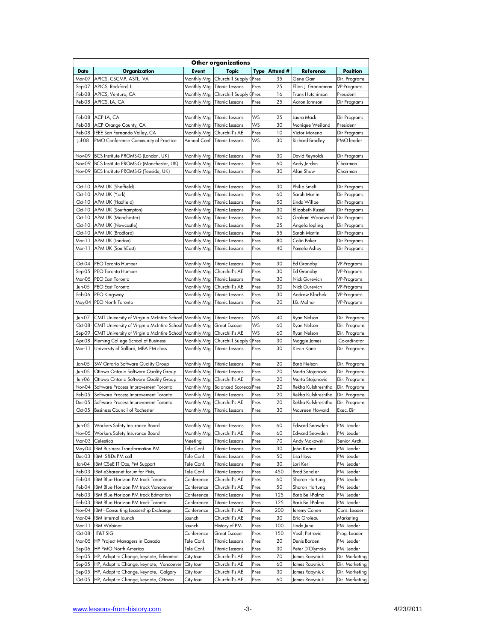| Other organizations |                                                                          |                          |                                   |              |            |                                   |                                  |
|---------------------|--------------------------------------------------------------------------|--------------------------|-----------------------------------|--------------|------------|-----------------------------------|----------------------------------|
| <b>Date</b>         | <b>Organization</b>                                                      | <b>Event</b>             | <b>Topic</b>                      | <b>Type</b>  | Attend #   | Reference                         | <b>Position</b>                  |
| Mar-07              | APICS, CSCMP, ASTL, VA                                                   | Monthly Mtg              | Churchill Supply (Pres            |              | 35         | Gene Gam                          | Dir. Programs                    |
| Sep-07              | APICS, Rockford, IL                                                      | Monthly Mtg              | <b>Titanic Lessons</b>            | Pres         | 25         | Ellen J. Granneman                | <b>VP-Programs</b>               |
| Feb-08              | APICS, Ventura, CA                                                       | Monthly Mtg              | Churchill Supply 0                | Pres         | 16         | Frank Hutchinson                  | President                        |
| Feb-08              | APICS, LA, CA                                                            | Monthly Mtg              | <b>Titanic Lessons</b>            | Pres         | 25         | Aaron Johnson                     | Dir Programs                     |
|                     |                                                                          |                          |                                   |              |            |                                   |                                  |
| Feb-08              | ACP LA, CA                                                               | Monthly Mtg              | <b>Titanic Lessons</b>            | WS           | 25         | Laura Mack                        | Dir Programs                     |
| Feb-08              | ACP Orange County, CA                                                    | Monthly Mtg              | <b>Titanic Lessons</b>            | WS           | 30         | Monique Weiland                   | President                        |
| Feb-08              | IEEE San Fernando Valley, CA                                             | Monthly Mtg              | Churchill's AE                    | Pres         | 10         | Victor Moreno                     | Dir Programs                     |
| Jul-08              | PMO Conference Community of Practice                                     | Annual Conf              | <b>Titanic Lessons</b>            | WS           | 30         | <b>Richard Bradley</b>            | <b>PMO</b> leader                |
|                     |                                                                          |                          |                                   |              |            |                                   |                                  |
| Nov-09              | BCS Institute PROMS-G (London, UK)                                       | Monthly Mtg              | <b>Titanic Lessons</b>            | Pres         | 30         | David Reynolds                    | Dir Programs                     |
|                     | Nov-09 BCS Institute PROMS-G (Manchester, UK)                            | Monthly Mtg              | <b>Titanic Lessons</b>            | Pres         | 60         | Andy Jordan                       | Chairman                         |
| Nov-09              | BCS Institute PROMS-G (Teeside, UK)                                      | Monthly Mtg              | <b>Titanic Lessons</b>            | Pres         | 30         | Alan Shaw                         | Chairman                         |
|                     |                                                                          |                          |                                   |              |            |                                   |                                  |
|                     | Oct-10 APM UK (Sheffield)                                                | Monthly Mtg              | <b>Titanic Lessons</b>            | Pres         | 30         | <b>Philip Smelt</b>               | Dir Programs                     |
| Oct-10              | APM UK (York)                                                            | Monthly Mtg              | <b>Titanic Lessons</b>            | Pres         | 60         | Sarah Martin                      | Dir Programs                     |
|                     | Oct-10 APM UK (Hadfield)                                                 | Monthly Mtg              | <b>Titanic Lessons</b>            | Pres         | 50         | Linda Willbe                      | Dir Programs                     |
|                     | Oct-10 APM UK (Southampton)                                              | Monthly Mtg              | <b>Titanic Lessons</b>            | Pres         | 30         | Elizabeth Russell                 | Dir Programs                     |
|                     | Oct-10 APM UK (Manchester)                                               | Monthly Mtg              | <b>Titanic Lessons</b>            | Pres         | 60         | Graham Woodward                   | Dir Programs                     |
| Oct-10              | APM UK (Newcastle)                                                       | Monthly Mtg              | <b>Titanic Lessons</b>            | Pres         | 25         | Angela Jopling                    | Dir Programs                     |
| Oct-10              | APM UK (Bradford)                                                        | Monthly Mtg              | <b>Titanic Lessons</b>            | Pres         | 55         | Sarah Martin                      | Dir Programs                     |
| Mar-11              | APM UK (London)                                                          | Monthly Mtg              | <b>Titanic Lessons</b>            | Pres         | 80         | Colin Baker                       | Dir Programs                     |
| Mar-11              | APM UK (SouthEast)                                                       | Monthly Mtg              | <b>Titanic Lessons</b>            | Pres         | 40         | Pamela Ashby                      | Dir Programs                     |
|                     |                                                                          |                          |                                   |              |            |                                   |                                  |
| Oct-04              | PEO Toronto Humber                                                       | Monthly Mtg              | <b>Titanic Lessons</b>            | Pres         | 30         | <b>Ed Grandby</b>                 | <b>VP-Programs</b>               |
| Sep-05              | PEO Toronto Humber                                                       | Monthly Mtg              | Churchill's AE                    | Pres         | 30         | <b>Ed Grandby</b>                 | <b>VP-Programs</b>               |
| Mar-05              | <b>PEO East Toronto</b>                                                  | Monthly Mtg              | <b>Titanic Lessons</b>            | Pres         | 30         | Nick Gurevich                     | VP-Programs                      |
| Jun-05              | PEO East Toronto                                                         | Monthly Mtg              | Churchill's AE                    | Pres         | 30         | Nick Gurevich                     | <b>VP-Programs</b>               |
| Feb-06              | <b>PEO Kingsway</b>                                                      | Monthly Mtg              | <b>Titanic Lessons</b>            | Pres         | 30         | Andrew Klochek                    | VP-Programs                      |
|                     | May-04 PEO North Toronto                                                 | Monthly Mtg              | <b>Titanic Lessons</b>            | Pres         | 20         | J.B. Molnar                       | VP-Programs                      |
|                     |                                                                          |                          |                                   |              |            |                                   |                                  |
| Jun-07              | CMIT University of Virginia McIntire School                              | Monthly Mtg              | <b>Titanic Lessons</b>            | ws           | 40         | Ryan Nelson                       | Dir. Programs                    |
| Oct-08              | CMIT University of Virginia McIntire School                              | Monthly Mtg              | <b>Great Escape</b>               | WS           | 60         | Ryan Nelson                       | Dir. Programs                    |
| Sep-09              | CMIT University of Virginia McIntire School                              | Monthly Mtg              | Churchill's AE                    | WS           | 60         | Ryan Nelson                       | Dir. Programs                    |
| Apr-08              | Fleming College School of Business                                       | Monthly Mtg              | Churchill Supply                  | Pres         | 30         | Maggie James                      | Co-ordinator                     |
| Mar-11              | University of Salford, MBA PM class                                      | Monthly Mtg              | <b>Titanic Lessons</b>            | Pres         | 30         | Kevin Kane                        | Dir. Programs                    |
|                     |                                                                          |                          |                                   |              |            |                                   |                                  |
| Jan-05              | SW Ontario Software Quality Group                                        | Monthly Mtg              | <b>Titanic Lessons</b>            | Pres         | 20         | <b>Barb Nelson</b>                | Dir. Programs                    |
| Jun-05              | Ottawa Ontario Software Quality Group                                    | Monthly Mtg              | <b>Titanic Lessons</b>            | Pres         | 20         | Marta Stojanovic                  | Dir. Programs                    |
| Jun-06              | Ottawa Ontario Software Quality Group                                    | Monthly Mtg              | Churchill's AE                    | Pres         | 20         | Marta Stojanovic                  | Dir. Programs                    |
| Nov-04              | Software Process Improvement Toronto                                     |                          | Monthly Mtg Balanced Scoreca Pres |              | 20         | Rekha Kulshreshtha                | Dir. Programs                    |
| Feb-05              | Software Process Improvement Toronto                                     | Monthly Mtg              | <b>Titanic Lessons</b>            | Pres         | 20         | Rekha Kulshreshtha                | Dir. Programs                    |
| Dec-05              | Software Process Improvement Toronto                                     | Monthly Mtg              | Churchill's AE                    | Pres         | 20         | Rekha Kulshreshtha                | Dir. Programs                    |
| Oct-05              | <b>Business Council of Rochester</b>                                     | Monthly Mtg              | <b>Titanic Lessons</b>            | Pres         | 30         | Maureen Howard                    | Exec. Dir                        |
|                     |                                                                          |                          |                                   |              |            |                                   |                                  |
| Jun-05              | Workers Safety Insurance Board                                           | Monthly Mtg              | <b>Titanic Lessons</b>            | Pres         | 60         | Edward Snowden                    | PM Leader                        |
| Nov-05              | Workers Safety Insurance Board                                           | Monthly Mtg              | Churchill's AE                    | Pres         | 60         | Edward Snowden                    | PM Leader                        |
|                     | Mar-03 Celestica                                                         | Meeting                  | Titanic Lessons                   | Pres         | 70         | Andy Makowski                     | Senior Arch.                     |
|                     | May-04 IBM Business Transformation PM<br>IBM S&Ds PM call                | Tele Conf.               | Titanic Lessons                   | Pres         | 30         | John Keane                        | PM Leader<br>PM Leader           |
| Dec-03              |                                                                          | Tele Conf.               | Titanic Lessons                   | Pres         | 50<br>30   | Lisa Hays                         | PM Leader                        |
| Jan-04<br>Feb-03    | IBM CSeE IT Ops, PM Support                                              | Tele Conf.<br>Tele Conf. | Titanic Lessons                   | Pres         | 450        | Lori Keri<br><b>Brad Sandler</b>  |                                  |
|                     | IBM eSharenet forum for PMs,<br>Feb-04 IBM Blue Horizon PM track Toronto |                          | Titanic Lessons<br>Churchill's AE | Pres         |            |                                   | PM Leader                        |
|                     |                                                                          | Conference               |                                   | Pres         | 60         | Sharon Hartung                    | PM Leader                        |
| Feb-04              | IBM Blue Horizon PM track Vancouver                                      | Conference               | Churchill's AE                    | Pres         | 50         | Sharon Hartung<br>Barb Bell-Palma | PM Leader                        |
| Feb-03<br>Feb-03    | IBM Blue Horizon PM track Edmonton                                       | Conference<br>Conference | Titanic Lessons                   | Pres<br>Pres | 125<br>125 | Barb Bell-Palma                   | PM Leader<br>PM Leader           |
|                     | IBM Blue Horizon PM track Toronto                                        | Conference               | Titanic Lessons<br>Churchill's AE |              | 200        |                                   | Cons. Leader                     |
| Nov-04              | IBM - Consulting Leadership Exchange<br>Mar-04 IBM internal launch       | Launch                   | Churchill's AE                    | Pres<br>Pres | 30         | Jeremy Cohen                      | Marketing                        |
|                     |                                                                          |                          |                                   |              | 100        | Eric Groleau                      | PM Leader                        |
| Mar-11              | <b>IBM Webinar</b><br><b>IT&amp;T SIG</b>                                | Launch                   | History of PM                     | Pres         |            | Linda June                        |                                  |
| Oct-08              | Mar-05 HP Project Managers in Canada                                     | Conference<br>Tele Conf. | Great Escape                      | Pres<br>Pres | 150<br>20  | Vasilj Petrovic                   | Prog. Leader                     |
|                     | Sep-06 HP PMO North America                                              | Tele Conf.               | Titanic Lessons                   | Pres         | 30         | Denis Borden<br>Peter D'Olympio   | PM Leader<br>PM Leader           |
| Sep-05              | HP, Adapt to Change, keynote, Edmonton                                   |                          | Titanic Lessons                   | Pres         | 70         |                                   |                                  |
| Sep-05              | HP, Adapt to Change, keynote, Vancouver                                  | City tour<br>City tour   | Churchill's AE<br>Churchill's AE  | Pres         | 60         | James Rabyniuk<br>James Rabyniuk  | Dir. Marketing<br>Dir. Marketing |
| Sep-05              | HP, Adapt to Change, keynote, Calgary                                    | City tour                | Churchill's AE                    | Pres         | 30         | James Rabyniuk                    | Dir. Marketing                   |
|                     | Oct-05 HP, Adapt to Change, keynote, Ottawa                              | City tour                | Churchill's AE                    | Pres         | 60         | James Rabyniuk                    | Dir. Marketing                   |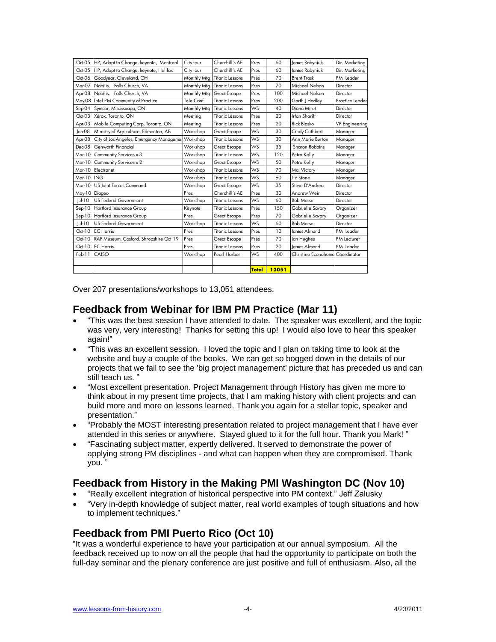| Oct-05        | HP, Adapt to Change, keynote, Montreal            | City tour   | Churchill's AE         | Pres      | 60    | James Rabyniuk                  | Dir. Marketing        |
|---------------|---------------------------------------------------|-------------|------------------------|-----------|-------|---------------------------------|-----------------------|
| Oct-05        | HP, Adapt to Change, keynote, Halifax             | City tour   | Churchill's AE         | Pres      | 60    | James Rabyniuk                  | Dir. Marketina        |
| Oct-06        | Goodyear, Cleveland, OH                           | Monthly Mtg | <b>Titanic Lessons</b> | Pres      | 70    | <b>Brent Trask</b>              | PM Leader             |
| Mar-07        | Nobilis, Falls Church, VA                         | Monthly Mtg | <b>Titanic Lessons</b> | Pres      | 70    | Michael Nelson                  | Director              |
| Apr-08        | Nobilis, Falls Church, VA                         | Monthly Mtg | <b>Great Escape</b>    | Pres      | 100   | Michael Nelson                  | Director              |
|               | May-08 Intel PM Community of Practice             | Tele Conf.  | <b>Titanic Lessons</b> | Pres      | 200   | Garth J Hadley                  | Practice Leader       |
| Sep-04        | Symcor, Mississuaga, ON                           | Monthly Mtg | <b>Titanic Lessons</b> | WS        | 40    | Diana Miret                     | Director              |
| $Oct-03$      | Xerox, Toronto, ON                                | Meeting     | Titanic Lessons        | Pres      | 20    | Irfan Shariff                   | Director              |
| Apr-03        | Mobile Computing Corp, Toronto, ON                | Meeting     | <b>Titanic Lessons</b> | Pres      | 20    | <b>Rick Blasko</b>              | <b>VP</b> Engineering |
| Jan-08        | Ministry of Agriculture, Edmonton, AB             | Workshop    | <b>Great Escape</b>    | <b>WS</b> | 30    | Cindy Cuthbert                  | Manager               |
| Apr-08        | City of Los Angeles, Emergency Managemer Workshop |             | Titanic Lessons        | WS        | 30    | Ann Marie Burton                | Manager               |
| Dec-08        | Genworth Financial                                | Workshop    | <b>Great Escape</b>    | <b>WS</b> | 35    | Sharon Robbins                  | Manager               |
| Mar-10        | Community Services x 3                            | Workshop    | <b>Titanic Lessons</b> | WS        | 120   | Petra Kelly                     | Manager               |
| Mar-10        | Community Services x 2                            | Workshop    | <b>Great Escape</b>    | <b>WS</b> | 50    | Petra Kelly                     | Manager               |
| Mar-10        | Electranet                                        | Workshop    | <b>Titanic Lessons</b> | <b>WS</b> | 70    | Mal Victory                     | Manager               |
| $Mar-10$      | <b>ING</b>                                        | Workshop    | <b>Titanic Lessons</b> | WS        | 60    | Liz Stone                       | Manager               |
| $Mar-10$      | US loint Forces Command                           | Workshop    | <b>Great Escape</b>    | WS        | 35    | Steve D'Andrea                  | Director              |
| May-10 Diageo |                                                   | Pres        | Churchill's AE         | Pres      | 30    | Andrew Weir                     | Director              |
| Jul-10        | <b>US Federal Government</b>                      | Workshop    | Titanic Lessons        | <b>WS</b> | 60    | <b>Bob Morse</b>                | Director              |
| $Sep-10$      | <b>Hartford Insurance Group</b>                   | Keynote     | <b>Titanic Lessons</b> | Pres      | 150   | Gabrielle Savary                | Organizer             |
| $Sep-10$      | Hartford Insurance Group                          | Pres        | <b>Great Escape</b>    | Pres      | 70    | Gabrielle Savary                | Organizer             |
| $ u $ -10     | <b>US Federal Government</b>                      | Workshop    | Titanic Lessons        | WS        | 60    | <b>Bob Morse</b>                | Director              |
| $Oct-10$      | <b>EC</b> Harris                                  | Pres        | Titanic Lessons        | Pres      | 10    | lames Almond                    | PM Leader             |
| $Oct-10$      | RAF Museum, Cosford, Shropshire Oct 19            | Pres        | <b>Great Escape</b>    | Pres      | 70    | lan Hughes                      | PM Lecturer           |
| $Oct-10$      | <b>EC</b> Harris                                  | Pres        | Titanic Lessons        | Pres      | 20    | lames Almond                    | PM Leader             |
| Feb-11        | CAISO                                             | Workshop    | Pearl Harbor           | <b>WS</b> | 400   | Christine Econohome Coordinator |                       |
|               |                                                   |             |                        |           |       |                                 |                       |
|               |                                                   |             |                        | Total     | 13051 |                                 |                       |

Over 207 presentations/workshops to 13,051 attendees.

#### **Feedback from Webinar for IBM PM Practice (Mar 11)**

- ―This was the best session I have attended to date. The speaker was excellent, and the topic was very, very interesting! Thanks for setting this up! I would also love to hear this speaker again!‖
- ―This was an excellent session. I loved the topic and I plan on taking time to look at the website and buy a couple of the books. We can get so bogged down in the details of our projects that we fail to see the 'big project management' picture that has preceded us and can still teach us.'
- ―Most excellent presentation. Project Management through History has given me more to think about in my present time projects, that I am making history with client projects and can build more and more on lessons learned. Thank you again for a stellar topic, speaker and presentation."
- ―Probably the MOST interesting presentation related to project management that I have ever attended in this series or anywhere. Stayed glued to it for the full hour. Thank you Mark!"
- ―Fascinating subject matter, expertly delivered. It served to demonstrate the power of applying strong PM disciplines - and what can happen when they are compromised. Thank you."

# **Feedback from History in the Making PMI Washington DC (Nov 10)**

- "Really excellent integration of historical perspective into PM context." Jeff Zalusky
- ―Very in-depth knowledge of subject matter, real world examples of tough situations and how to implement techniques."

#### **Feedback from PMI Puerto Rico (Oct 10)**

"It was a wonderful experience to have your participation at our annual symposium. All the feedback received up to now on all the people that had the opportunity to participate on both the full-day seminar and the plenary conference are just positive and full of enthusiasm. Also, all the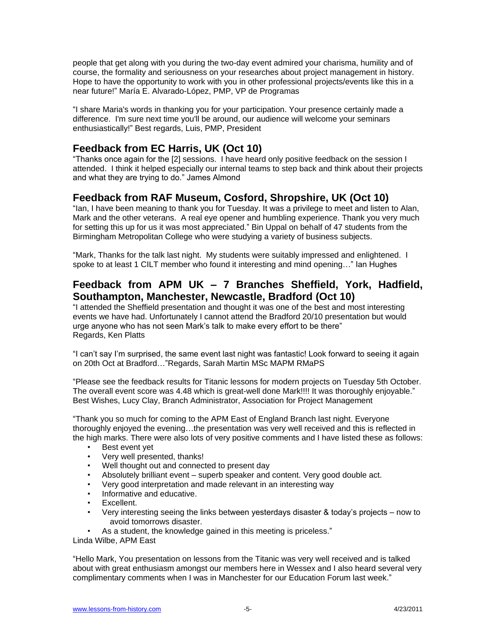people that get along with you during the two-day event admired your charisma, humility and of course, the formality and seriousness on your researches about project management in history. Hope to have the opportunity to work with you in other professional projects/events like this in a near future!‖ María E. Alvarado-López, PMP, VP de Programas

"I share Maria's words in thanking you for your participation. Your presence certainly made a difference. I'm sure next time you'll be around, our audience will welcome your seminars enthusiastically!‖ Best regards, Luis, PMP, President

# **Feedback from EC Harris, UK (Oct 10)**

―Thanks once again for the [2] sessions. I have heard only positive feedback on the session I attended. I think it helped especially our internal teams to step back and think about their projects and what they are trying to do." James Almond

### **Feedback from RAF Museum, Cosford, Shropshire, UK (Oct 10)**

―Ian, I have been meaning to thank you for Tuesday. It was a privilege to meet and listen to Alan, Mark and the other veterans. A real eye opener and humbling experience. Thank you very much for setting this up for us it was most appreciated." Bin Uppal on behalf of 47 students from the Birmingham Metropolitan College who were studying a variety of business subjects.

"Mark, Thanks for the talk last night. My students were suitably impressed and enlightened. I spoke to at least 1 CILT member who found it interesting and mind opening..." Ian Hughes

### **Feedback from APM UK – 7 Branches Sheffield, York, Hadfield, Southampton, Manchester, Newcastle, Bradford (Oct 10)**

"I attended the Sheffield presentation and thought it was one of the best and most interesting events we have had. Unfortunately I cannot attend the Bradford 20/10 presentation but would urge anyone who has not seen Mark's talk to make every effort to be there" Regards, Ken Platts

"I can't say I'm surprised, the same event last night was fantastic! Look forward to seeing it again on 20th Oct at Bradford..."Regards, Sarah Martin MSc MAPM RMaPS

―Please see the feedback results for Titanic lessons for modern projects on Tuesday 5th October. The overall event score was 4.48 which is great-well done Mark!!!! It was thoroughly enjoyable." Best Wishes, Lucy Clay, Branch Administrator, Association for Project Management

"Thank you so much for coming to the APM East of England Branch last night. Everyone thoroughly enjoyed the evening…the presentation was very well received and this is reflected in the high marks. There were also lots of very positive comments and I have listed these as follows:

- Best event yet
- Very well presented, thanks!
- Well thought out and connected to present day
- Absolutely brilliant event superb speaker and content. Very good double act.
- Very good interpretation and made relevant in an interesting way
- Informative and educative.
- Excellent.
- Very interesting seeing the links between yesterdays disaster & today's projects now to avoid tomorrows disaster.
- As a student, the knowledge gained in this meeting is priceless."

Linda Wilbe, APM East

―Hello Mark, You presentation on lessons from the Titanic was very well received and is talked about with great enthusiasm amongst our members here in Wessex and I also heard several very complimentary comments when I was in Manchester for our Education Forum last week."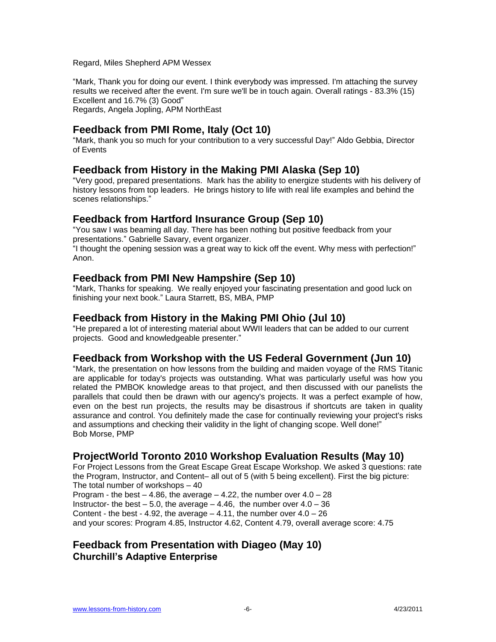Regard, Miles Shepherd APM Wessex

―Mark, Thank you for doing our event. I think everybody was impressed. I'm attaching the survey results we received after the event. I'm sure we'll be in touch again. Overall ratings - 83.3% (15) Excellent and 16.7% (3) Good" Regards, Angela Jopling, APM NorthEast

# **Feedback from PMI Rome, Italy (Oct 10)**

―Mark, thank you so much for your contribution to a very successful Day!‖ Aldo Gebbia, Director of Events

### **Feedback from History in the Making PMI Alaska (Sep 10)**

―Very good, prepared presentations. Mark has the ability to energize students with his delivery of history lessons from top leaders. He brings history to life with real life examples and behind the scenes relationships."

#### **Feedback from Hartford Insurance Group (Sep 10)**

"You saw I was beaming all day. There has been nothing but positive feedback from your presentations." Gabrielle Savary, event organizer.

"I thought the opening session was a great way to kick off the event. Why mess with perfection!" Anon.

#### **Feedback from PMI New Hampshire (Sep 10)**

―Mark, Thanks for speaking. We really enjoyed your fascinating presentation and good luck on finishing your next book." Laura Starrett, BS, MBA, PMP

### **Feedback from History in the Making PMI Ohio (Jul 10)**

―He prepared a lot of interesting material about WWII leaders that can be added to our current projects. Good and knowledgeable presenter."

#### **Feedback from Workshop with the US Federal Government (Jun 10)**

―Mark, the presentation on how lessons from the building and maiden voyage of the RMS Titanic are applicable for today's projects was outstanding. What was particularly useful was how you related the PMBOK knowledge areas to that project, and then discussed with our panelists the parallels that could then be drawn with our agency's projects. It was a perfect example of how, even on the best run projects, the results may be disastrous if shortcuts are taken in quality assurance and control. You definitely made the case for continually reviewing your project's risks and assumptions and checking their validity in the light of changing scope. Well done!" Bob Morse, PMP

# **ProjectWorld Toronto 2010 Workshop Evaluation Results (May 10)**

For Project Lessons from the Great Escape Great Escape Workshop. We asked 3 questions: rate the Program, Instructor, and Content– all out of 5 (with 5 being excellent). First the big picture: The total number of workshops – 40

Program - the best  $-4.86$ , the average  $-4.22$ , the number over  $4.0 - 28$ Instructor- the best  $-5.0$ , the average  $-4.46$ , the number over  $4.0 - 36$ Content - the best - 4.92, the average  $-$  4.11, the number over  $4.0 - 26$ and your scores: Program 4.85, Instructor 4.62, Content 4.79, overall average score: 4.75

### **Feedback from Presentation with Diageo (May 10) Churchill's Adaptive Enterprise**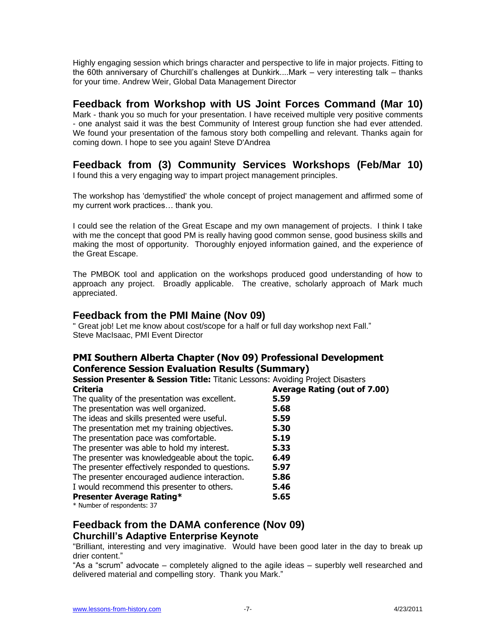Highly engaging session which brings character and perspective to life in major projects. Fitting to the 60th anniversary of Churchill's challenges at Dunkirk....Mark – very interesting talk – thanks for your time. Andrew Weir, Global Data Management Director

#### **Feedback from Workshop with US Joint Forces Command (Mar 10)**

Mark - thank you so much for your presentation. I have received multiple very positive comments - one analyst said it was the best Community of Interest group function she had ever attended. We found your presentation of the famous story both compelling and relevant. Thanks again for coming down. I hope to see you again! Steve D'Andrea

# **Feedback from (3) Community Services Workshops (Feb/Mar 10)**

I found this a very engaging way to impart project management principles.

The workshop has 'demystified' the whole concept of project management and affirmed some of my current work practices… thank you.

I could see the relation of the Great Escape and my own management of projects. I think I take with me the concept that good PM is really having good common sense, good business skills and making the most of opportunity. Thoroughly enjoyed information gained, and the experience of the Great Escape.

The PMBOK tool and application on the workshops produced good understanding of how to approach any project. Broadly applicable. The creative, scholarly approach of Mark much appreciated.

### **Feedback from the PMI Maine (Nov 09)**

" Great job! Let me know about cost/scope for a half or full day workshop next Fall." Steve MacIsaac, PMI Event Director

#### **PMI Southern Alberta Chapter (Nov 09) Professional Development Conference Session Evaluation Results (Summary)**

**Session Presenter & Session Title:** Titanic Lessons: Avoiding Project Disasters **Criteria Average Rating (out of 7.00)**

| The quality of the presentation was excellent.    | 5.59 |  |
|---------------------------------------------------|------|--|
| The presentation was well organized.              | 5.68 |  |
| The ideas and skills presented were useful.       | 5.59 |  |
| The presentation met my training objectives.      | 5.30 |  |
| The presentation pace was comfortable.            | 5.19 |  |
| The presenter was able to hold my interest.       | 5.33 |  |
| The presenter was knowledgeable about the topic.  | 6.49 |  |
| The presenter effectively responded to questions. | 5.97 |  |
| The presenter encouraged audience interaction.    | 5.86 |  |
| I would recommend this presenter to others.       | 5.46 |  |
| <b>Presenter Average Rating*</b>                  | 5.65 |  |
| $*$ Number of secondents: $27$                    |      |  |

Number of respondents: 37

# **Feedback from the DAMA conference (Nov 09)**

#### **Churchill's Adaptive Enterprise Keynote**

"Brilliant, interesting and very imaginative. Would have been good later in the day to break up drier content."

"As a "scrum" advocate – completely aligned to the agile ideas – superbly well researched and delivered material and compelling story. Thank you Mark."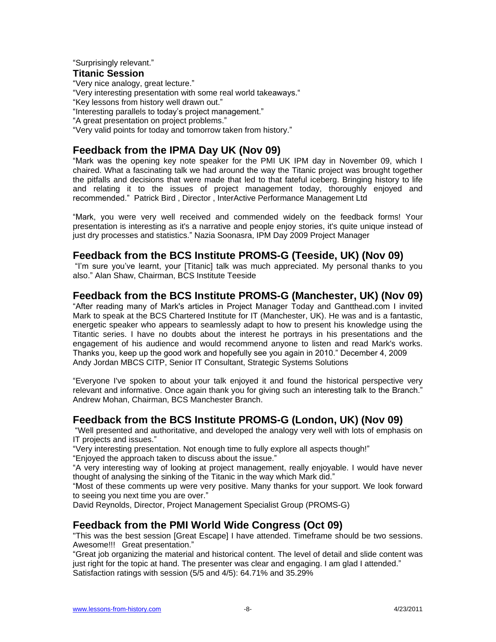"Surprisingly relevant."

#### **Titanic Session**

"Very nice analogy, great lecture."

"Very interesting presentation with some real world takeaways."

"Key lessons from history well drawn out."

"Interesting parallels to today's project management."

"A great presentation on project problems."

"Very valid points for today and tomorrow taken from history."

## **Feedback from the IPMA Day UK (Nov 09)**

"Mark was the opening key note speaker for the PMI UK IPM day in November 09, which I chaired. What a fascinating talk we had around the way the Titanic project was brought together the pitfalls and decisions that were made that led to that fateful iceberg. Bringing history to life and relating it to the issues of project management today, thoroughly enjoyed and recommended.‖ Patrick Bird , Director , InterActive Performance Management Ltd

―Mark, you were very well received and commended widely on the feedback forms! Your presentation is interesting as it's a narrative and people enjoy stories, it's quite unique instead of just dry processes and statistics." Nazia Soonasra, IPM Day 2009 Project Manager

#### **Feedback from the BCS Institute PROMS-G (Teeside, UK) (Nov 09)**

"I'm sure you've learnt, your [Titanic] talk was much appreciated. My personal thanks to you also." Alan Shaw, Chairman, BCS Institute Teeside

#### **Feedback from the BCS Institute PROMS-G (Manchester, UK) (Nov 09)**

"After reading many of Mark's articles in Project Manager Today and Gantthead.com I invited Mark to speak at the BCS Chartered Institute for IT (Manchester, UK). He was and is a fantastic, energetic speaker who appears to seamlessly adapt to how to present his knowledge using the Titantic series. I have no doubts about the interest he portrays in his presentations and the engagement of his audience and would recommend anyone to listen and read Mark's works. Thanks you, keep up the good work and hopefully see you again in 2010.‖ December 4, 2009 Andy Jordan MBCS CITP, Senior IT Consultant, Strategic Systems Solutions

―Everyone I've spoken to about your talk enjoyed it and found the historical perspective very relevant and informative. Once again thank you for giving such an interesting talk to the Branch." Andrew Mohan, Chairman, BCS Manchester Branch.

#### **Feedback from the BCS Institute PROMS-G (London, UK) (Nov 09)**

―Well presented and authoritative, and developed the analogy very well with lots of emphasis on IT projects and issues.‖

"Very interesting presentation. Not enough time to fully explore all aspects though!"

"Enioved the approach taken to discuss about the issue."

"A very interesting way of looking at project management, really enjoyable. I would have never thought of analysing the sinking of the Titanic in the way which Mark did."

―Most of these comments up were very positive. Many thanks for your support. We look forward to seeing you next time you are over."

David Reynolds, Director, Project Management Specialist Group (PROMS-G)

#### **Feedback from the PMI World Wide Congress (Oct 09)**

"This was the best session [Great Escape] I have attended. Timeframe should be two sessions. Awesome!!! Great presentation."

―Great job organizing the material and historical content. The level of detail and slide content was just right for the topic at hand. The presenter was clear and engaging. I am glad I attended." Satisfaction ratings with session (5/5 and 4/5): 64.71% and 35.29%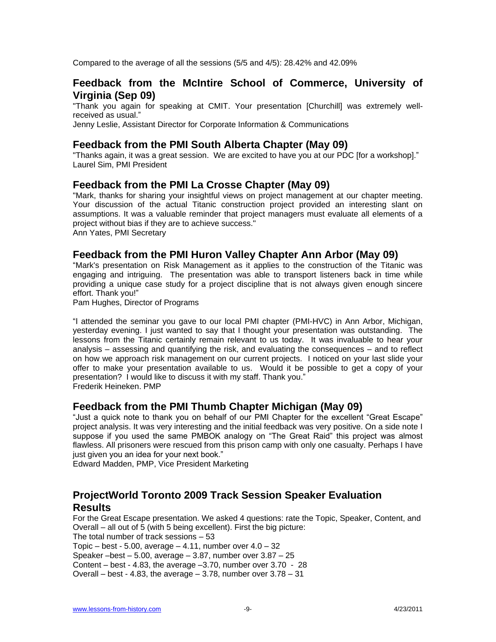Compared to the average of all the sessions (5/5 and 4/5): 28.42% and 42.09%

#### **Feedback from the McIntire School of Commerce, University of Virginia (Sep 09)**

"Thank you again for speaking at CMIT. Your presentation [Churchill] was extremely wellreceived as usual.‖

Jenny Leslie, Assistant Director for Corporate Information & Communications

#### **Feedback from the PMI South Alberta Chapter (May 09)**

"Thanks again, it was a great session. We are excited to have you at our PDC [for a workshop]." Laurel Sim, PMI President

#### **Feedback from the PMI La Crosse Chapter (May 09)**

"Mark, thanks for sharing your insightful views on project management at our chapter meeting. Your discussion of the actual Titanic construction project provided an interesting slant on assumptions. It was a valuable reminder that project managers must evaluate all elements of a project without bias if they are to achieve success."

Ann Yates, PMI Secretary

#### **Feedback from the PMI Huron Valley Chapter Ann Arbor (May 09)**

―Mark's presentation on Risk Management as it applies to the construction of the Titanic was engaging and intriguing. The presentation was able to transport listeners back in time while providing a unique case study for a project discipline that is not always given enough sincere effort. Thank you!"

Pam Hughes, Director of Programs

"I attended the seminar you gave to our local PMI chapter (PMI-HVC) in Ann Arbor, Michigan, yesterday evening. I just wanted to say that I thought your presentation was outstanding. The lessons from the Titanic certainly remain relevant to us today. It was invaluable to hear your analysis – assessing and quantifying the risk, and evaluating the consequences – and to reflect on how we approach risk management on our current projects. I noticed on your last slide your offer to make your presentation available to us. Would it be possible to get a copy of your presentation? I would like to discuss it with my staff. Thank you." Frederik Heineken. PMP

#### **Feedback from the PMI Thumb Chapter Michigan (May 09)**

"Just a quick note to thank you on behalf of our PMI Chapter for the excellent "Great Escape" project analysis. It was very interesting and the initial feedback was very positive. On a side note I suppose if you used the same PMBOK analogy on "The Great Raid" this project was almost flawless. All prisoners were rescued from this prison camp with only one casualty. Perhaps I have just given you an idea for your next book."

Edward Madden, PMP, Vice President Marketing

### **ProjectWorld Toronto 2009 Track Session Speaker Evaluation Results**

For the Great Escape presentation. We asked 4 questions: rate the Topic, Speaker, Content, and Overall – all out of 5 (with 5 being excellent). First the big picture: The total number of track sessions – 53 Topic – best - 5.00, average – 4.11, number over  $4.0 - 32$ Speaker – best – 5.00, average – 3.87, number over  $3.87 - 25$ Content – best - 4.83, the average  $-3.70$ , number over  $3.70 - 28$ Overall – best - 4.83, the average – 3.78, number over 3.78 – 31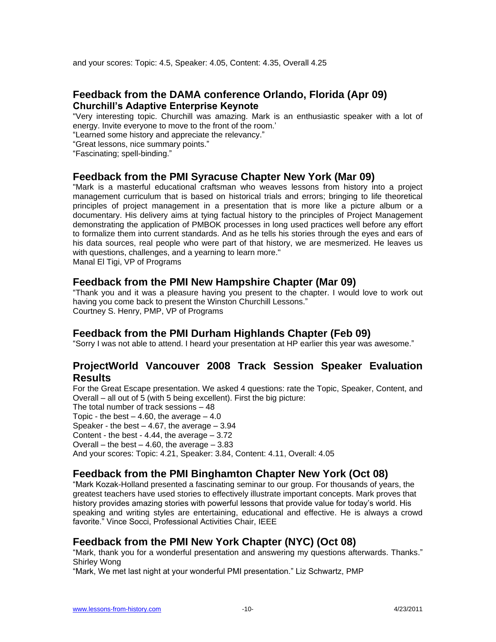and your scores: Topic: 4.5, Speaker: 4.05, Content: 4.35, Overall 4.25

#### **Feedback from the DAMA conference Orlando, Florida (Apr 09) Churchill's Adaptive Enterprise Keynote**

"Very interesting topic. Churchill was amazing. Mark is an enthusiastic speaker with a lot of energy. Invite everyone to move to the front of the room.'

"Learned some history and appreciate the relevancy."

"Great lessons, nice summary points."

"Fascinating; spell-binding."

#### **Feedback from the PMI Syracuse Chapter New York (Mar 09)**

"Mark is a masterful educational craftsman who weaves lessons from history into a project management curriculum that is based on historical trials and errors; bringing to life theoretical principles of project management in a presentation that is more like a picture album or a documentary. His delivery aims at tying factual history to the principles of Project Management demonstrating the application of PMBOK processes in long used practices well before any effort to formalize them into current standards. And as he tells his stories through the eyes and ears of his data sources, real people who were part of that history, we are mesmerized. He leaves us with questions, challenges, and a yearning to learn more."

Manal El Tigi, VP of Programs

#### **Feedback from the PMI New Hampshire Chapter (Mar 09)**

―Thank you and it was a pleasure having you present to the chapter. I would love to work out having you come back to present the Winston Churchill Lessons." Courtney S. Henry, PMP, VP of Programs

#### **Feedback from the PMI Durham Highlands Chapter (Feb 09)**

"Sorry I was not able to attend. I heard your presentation at HP earlier this year was awesome."

#### **ProjectWorld Vancouver 2008 Track Session Speaker Evaluation Results**

For the Great Escape presentation. We asked 4 questions: rate the Topic, Speaker, Content, and Overall – all out of 5 (with 5 being excellent). First the big picture:

The total number of track sessions – 48

Topic - the best  $-4.60$ , the average  $-4.0$ 

Speaker - the best  $-4.67$ , the average  $-3.94$ 

Content - the best - 4.44, the average – 3.72

Overall – the best – 4.60, the average –  $3.83$ 

And your scores: Topic: 4.21, Speaker: 3.84, Content: 4.11, Overall: 4.05

# **Feedback from the PMI Binghamton Chapter New York (Oct 08)**

―Mark Kozak-Holland presented a fascinating seminar to our group. For thousands of years, the greatest teachers have used stories to effectively illustrate important concepts. Mark proves that history provides amazing stories with powerful lessons that provide value for today's world. His speaking and writing styles are entertaining, educational and effective. He is always a crowd favorite." Vince Socci, Professional Activities Chair, IEEE

# **Feedback from the PMI New York Chapter (NYC) (Oct 08)**

"Mark, thank you for a wonderful presentation and answering my questions afterwards. Thanks." Shirley Wong

"Mark, We met last night at your wonderful PMI presentation." Liz Schwartz, PMP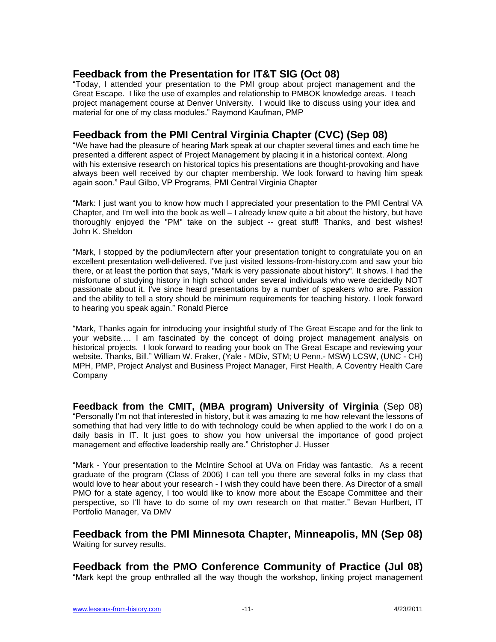# **Feedback from the Presentation for IT&T SIG (Oct 08)**

―Today, I attended your presentation to the PMI group about project management and the Great Escape. I like the use of examples and relationship to PMBOK knowledge areas. I teach project management course at Denver University. I would like to discuss using your idea and material for one of my class modules." Raymond Kaufman, PMP

### **Feedback from the PMI Central Virginia Chapter (CVC) (Sep 08)**

―We have had the pleasure of hearing Mark speak at our chapter several times and each time he presented a different aspect of Project Management by placing it in a historical context. Along with his extensive research on historical topics his presentations are thought-provoking and have always been well received by our chapter membership. We look forward to having him speak again soon." Paul Gilbo, VP Programs, PMI Central Virginia Chapter

―Mark: I just want you to know how much I appreciated your presentation to the PMI Central VA Chapter, and I'm well into the book as well – I already knew quite a bit about the history, but have thoroughly enjoyed the "PM" take on the subject -- great stuff! Thanks, and best wishes! John K. Sheldon

―Mark, I stopped by the podium/lectern after your presentation tonight to congratulate you on an excellent presentation well-delivered. I've just visited lessons-from-history.com and saw your bio there, or at least the portion that says, "Mark is very passionate about history". It shows. I had the misfortune of studying history in high school under several individuals who were decidedly NOT passionate about it. I've since heard presentations by a number of speakers who are. Passion and the ability to tell a story should be minimum requirements for teaching history. I look forward to hearing you speak again." Ronald Pierce

―Mark, Thanks again for introducing your insightful study of The Great Escape and for the link to your website.… I am fascinated by the concept of doing project management analysis on historical projects. I look forward to reading your book on The Great Escape and reviewing your website. Thanks, Bill." William W. Fraker, (Yale - MDiv, STM; U Penn.- MSW) LCSW, (UNC - CH) MPH, PMP, Project Analyst and Business Project Manager, First Health, A Coventry Health Care **Company** 

**Feedback from the CMIT, (MBA program) University of Virginia** (Sep 08) ―Personally I'm not that interested in history, but it was amazing to me how relevant the lessons of something that had very little to do with technology could be when applied to the work I do on a daily basis in IT. It just goes to show you how universal the importance of good project management and effective leadership really are." Christopher J. Husser

"Mark - Your presentation to the McIntire School at UVa on Friday was fantastic. As a recent graduate of the program (Class of 2006) I can tell you there are several folks in my class that would love to hear about your research - I wish they could have been there. As Director of a small PMO for a state agency, I too would like to know more about the Escape Committee and their perspective, so I'll have to do some of my own research on that matter." Bevan Hurlbert, IT Portfolio Manager, Va DMV

**Feedback from the PMI Minnesota Chapter, Minneapolis, MN (Sep 08)** Waiting for survey results.

**Feedback from the PMO Conference Community of Practice (Jul 08)** "Mark kept the group enthralled all the way though the workshop, linking project management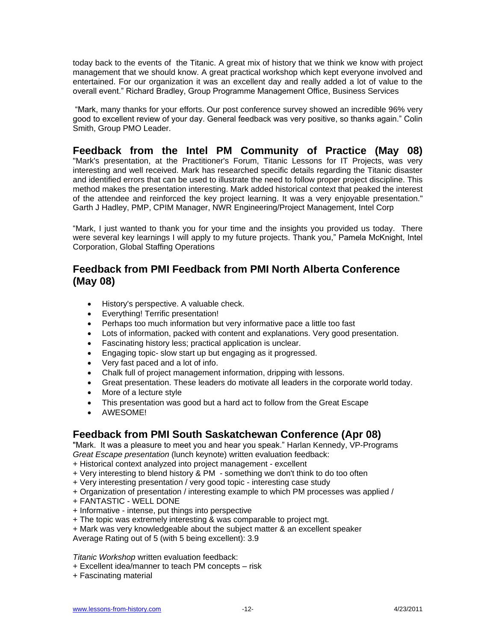today back to the events of the Titanic. A great mix of history that we think we know with project management that we should know. A great practical workshop which kept everyone involved and entertained. For our organization it was an excellent day and really added a lot of value to the overall event.‖ Richard Bradley, Group Programme Management Office, Business Services

"Mark, many thanks for your efforts. Our post conference survey showed an incredible 96% very good to excellent review of your day. General feedback was very positive, so thanks again." Colin Smith, Group PMO Leader.

**Feedback from the Intel PM Community of Practice (May 08)** "Mark's presentation, at the Practitioner's Forum, Titanic Lessons for IT Projects, was very interesting and well received. Mark has researched specific details regarding the Titanic disaster and identified errors that can be used to illustrate the need to follow proper project discipline. This method makes the presentation interesting. Mark added historical context that peaked the interest of the attendee and reinforced the key project learning. It was a very enjoyable presentation." Garth J Hadley, PMP, CPIM Manager, NWR Engineering/Project Management, Intel Corp

"Mark, I just wanted to thank you for your time and the insights you provided us today. There were several key learnings I will apply to my future projects. Thank you," Pamela McKnight, Intel Corporation, Global Staffing Operations

## **Feedback from PMI Feedback from PMI North Alberta Conference (May 08)**

- History's perspective. A valuable check.
- Everything! Terrific presentation!
- Perhaps too much information but very informative pace a little too fast
- Lots of information, packed with content and explanations. Very good presentation.
- Fascinating history less; practical application is unclear.
- Engaging topic- slow start up but engaging as it progressed.
- Very fast paced and a lot of info.
- Chalk full of project management information, dripping with lessons.
- Great presentation. These leaders do motivate all leaders in the corporate world today.
- More of a lecture style
- This presentation was good but a hard act to follow from the Great Escape
- AWESOME!

# **Feedback from PMI South Saskatchewan Conference (Apr 08)**

"Mark. It was a pleasure to meet you and hear you speak." Harlan Kennedy, VP-Programs *Great Escape presentation* (lunch keynote) written evaluation feedback:

- + Historical context analyzed into project management excellent
- + Very interesting to blend history & PM something we don't think to do too often
- + Very interesting presentation / very good topic interesting case study
- + Organization of presentation / interesting example to which PM processes was applied /
- + FANTASTIC WELL DONE
- + Informative intense, put things into perspective
- + The topic was extremely interesting & was comparable to project mgt.
- + Mark was very knowledgeable about the subject matter & an excellent speaker
- Average Rating out of 5 (with 5 being excellent): 3.9

*Titanic Workshop* written evaluation feedback:

- + Excellent idea/manner to teach PM concepts risk
- + Fascinating material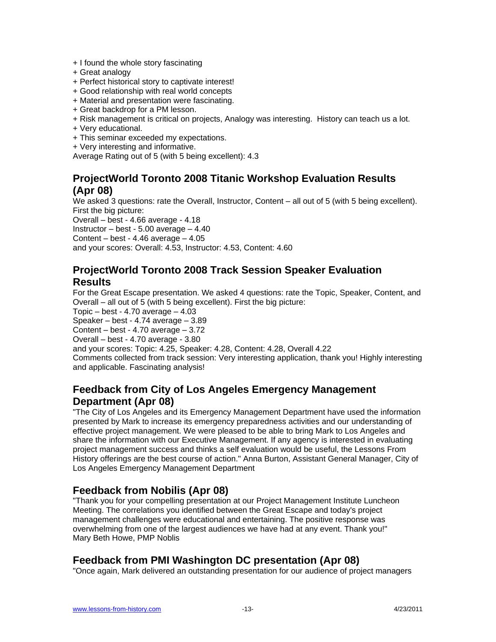- + I found the whole story fascinating
- + Great analogy
- + Perfect historical story to captivate interest!
- + Good relationship with real world concepts
- + Material and presentation were fascinating.
- + Great backdrop for a PM lesson.
- + Risk management is critical on projects, Analogy was interesting. History can teach us a lot.
- + Very educational.
- + This seminar exceeded my expectations.
- + Very interesting and informative.

Average Rating out of 5 (with 5 being excellent): 4.3

#### **ProjectWorld Toronto 2008 Titanic Workshop Evaluation Results (Apr 08)**

We asked 3 questions: rate the Overall, Instructor, Content – all out of 5 (with 5 being excellent). First the big picture:

Overall – best - 4.66 average - 4.18

Instructor – best - 5.00 average – 4.40

Content – best -  $4.46$  average –  $4.05$ 

and your scores: Overall: 4.53, Instructor: 4.53, Content: 4.60

## **ProjectWorld Toronto 2008 Track Session Speaker Evaluation Results**

For the Great Escape presentation. We asked 4 questions: rate the Topic, Speaker, Content, and Overall – all out of 5 (with 5 being excellent). First the big picture:

Topic – best -  $4.70$  average –  $4.03$ 

Speaker – best - 4.74 average – 3.89

Content – best - 4.70 average – 3.72

Overall – best - 4.70 average - 3.80

and your scores: Topic: 4.25, Speaker: 4.28, Content: 4.28, Overall 4.22 Comments collected from track session: Very interesting application, thank you! Highly interesting and applicable. Fascinating analysis!

# **Feedback from City of Los Angeles Emergency Management Department (Apr 08)**

"The City of Los Angeles and its Emergency Management Department have used the information presented by Mark to increase its emergency preparedness activities and our understanding of effective project management. We were pleased to be able to bring Mark to Los Angeles and share the information with our Executive Management. If any agency is interested in evaluating project management success and thinks a self evaluation would be useful, the Lessons From History offerings are the best course of action." Anna Burton, Assistant General Manager, City of Los Angeles Emergency Management Department

# **Feedback from Nobilis (Apr 08)**

"Thank you for your compelling presentation at our Project Management Institute Luncheon Meeting. The correlations you identified between the Great Escape and today's project management challenges were educational and entertaining. The positive response was overwhelming from one of the largest audiences we have had at any event. Thank you!" Mary Beth Howe, PMP Noblis

# **Feedback from PMI Washington DC presentation (Apr 08)**

"Once again, Mark delivered an outstanding presentation for our audience of project managers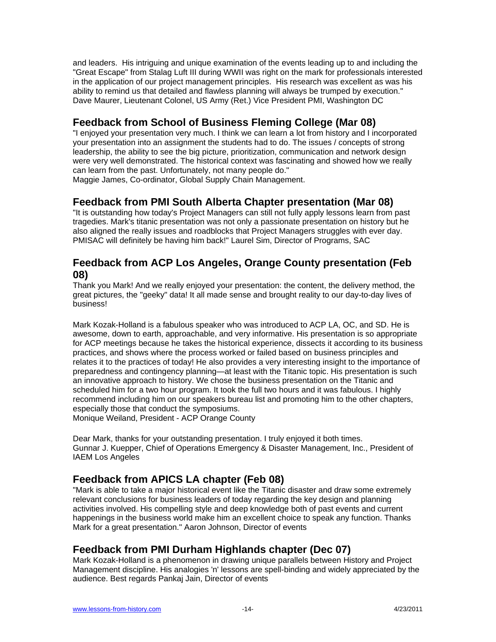and leaders. His intriguing and unique examination of the events leading up to and including the "Great Escape" from Stalag Luft III during WWII was right on the mark for professionals interested in the application of our project management principles. His research was excellent as was his ability to remind us that detailed and flawless planning will always be trumped by execution." Dave Maurer, Lieutenant Colonel, US Army (Ret.) Vice President PMI, Washington DC

# **Feedback from School of Business Fleming College (Mar 08)**

"I enjoyed your presentation very much. I think we can learn a lot from history and I incorporated your presentation into an assignment the students had to do. The issues / concepts of strong leadership, the ability to see the big picture, prioritization, communication and network design were very well demonstrated. The historical context was fascinating and showed how we really can learn from the past. Unfortunately, not many people do." Maggie James, Co-ordinator, Global Supply Chain Management.

### **Feedback from PMI South Alberta Chapter presentation (Mar 08)**

"It is outstanding how today's Project Managers can still not fully apply lessons learn from past tragedies. Mark's titanic presentation was not only a passionate presentation on history but he also aligned the really issues and roadblocks that Project Managers struggles with ever day. PMISAC will definitely be having him back!" Laurel Sim, Director of Programs, SAC

#### **Feedback from ACP Los Angeles, Orange County presentation (Feb 08)**

Thank you Mark! And we really enjoyed your presentation: the content, the delivery method, the great pictures, the "geeky" data! It all made sense and brought reality to our day-to-day lives of business!

Mark Kozak-Holland is a fabulous speaker who was introduced to ACP LA, OC, and SD. He is awesome, down to earth, approachable, and very informative. His presentation is so appropriate for ACP meetings because he takes the historical experience, dissects it according to its business practices, and shows where the process worked or failed based on business principles and relates it to the practices of today! He also provides a very interesting insight to the importance of preparedness and contingency planning—at least with the Titanic topic. His presentation is such an innovative approach to history. We chose the business presentation on the Titanic and scheduled him for a two hour program. It took the full two hours and it was fabulous. I highly recommend including him on our speakers bureau list and promoting him to the other chapters, especially those that conduct the symposiums. Monique Weiland, President - ACP Orange County

Dear Mark, thanks for your outstanding presentation. I truly enjoyed it both times. Gunnar J. Kuepper, Chief of Operations Emergency & Disaster Management, Inc., President of IAEM Los Angeles

# **Feedback from APICS LA chapter (Feb 08)**

"Mark is able to take a major historical event like the Titanic disaster and draw some extremely relevant conclusions for business leaders of today regarding the key design and planning activities involved. His compelling style and deep knowledge both of past events and current happenings in the business world make him an excellent choice to speak any function. Thanks Mark for a great presentation." Aaron Johnson, Director of events

# **Feedback from PMI Durham Highlands chapter (Dec 07)**

Mark Kozak-Holland is a phenomenon in drawing unique parallels between History and Project Management discipline. His analogies 'n' lessons are spell-binding and widely appreciated by the audience. Best regards Pankaj Jain, Director of events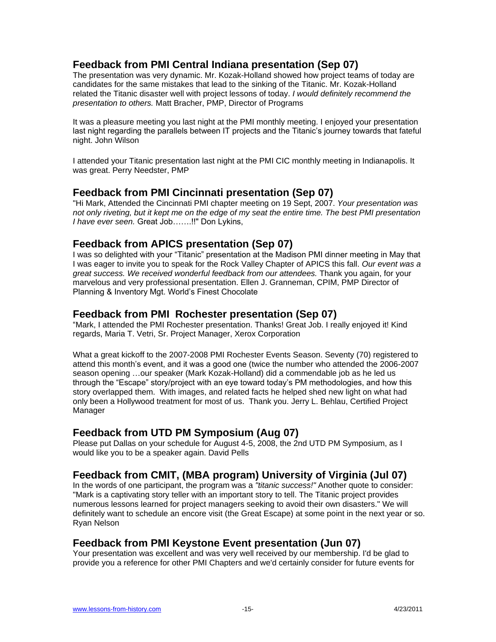# **Feedback from PMI Central Indiana presentation (Sep 07)**

The presentation was very dynamic. Mr. Kozak-Holland showed how project teams of today are candidates for the same mistakes that lead to the sinking of the Titanic. Mr. Kozak-Holland related the Titanic disaster well with project lessons of today. *I would definitely recommend the presentation to others.* Matt Bracher, PMP, Director of Programs

It was a pleasure meeting you last night at the PMI monthly meeting. I enjoyed your presentation last night regarding the parallels between IT projects and the Titanic's journey towards that fateful night. John Wilson

I attended your Titanic presentation last night at the PMI CIC monthly meeting in Indianapolis. It was great. Perry Needster, PMP

#### **Feedback from PMI Cincinnati presentation (Sep 07)**

"Hi Mark, Attended the Cincinnati PMI chapter meeting on 19 Sept, 2007. *Your presentation was not only riveting, but it kept me on the edge of my seat the entire time. The best PMI presentation I have ever seen.* Great Job…….!!" Don Lykins,

### **Feedback from APICS presentation (Sep 07)**

I was so delighted with your "Titanic" presentation at the Madison PMI dinner meeting in May that I was eager to invite you to speak for the Rock Valley Chapter of APICS this fall. *Our event was a great success. We received wonderful feedback from our attendees.* Thank you again, for your marvelous and very professional presentation. Ellen J. Granneman, CPIM, PMP Director of Planning & Inventory Mgt. World's Finest Chocolate

### **Feedback from PMI Rochester presentation (Sep 07)**

―Mark, I attended the PMI Rochester presentation. Thanks! Great Job. I really enjoyed it! Kind regards, Maria T. Vetri, Sr. Project Manager, Xerox Corporation

What a great kickoff to the 2007-2008 PMI Rochester Events Season. Seventy (70) registered to attend this month's event, and it was a good one (twice the number who attended the 2006-2007 season opening …our speaker (Mark Kozak-Holland) did a commendable job as he led us through the "Escape" story/project with an eye toward today's PM methodologies, and how this story overlapped them. With images, and related facts he helped shed new light on what had only been a Hollywood treatment for most of us. Thank you. Jerry L. Behlau, Certified Project Manager

# **Feedback from UTD PM Symposium (Aug 07)**

Please put Dallas on your schedule for August 4-5, 2008, the 2nd UTD PM Symposium, as I would like you to be a speaker again. David Pells

# **Feedback from CMIT, (MBA program) University of Virginia (Jul 07)**

In the words of one participant, the program was a *"titanic success!"* Another quote to consider: "Mark is a captivating story teller with an important story to tell. The Titanic project provides numerous lessons learned for project managers seeking to avoid their own disasters." We will definitely want to schedule an encore visit (the Great Escape) at some point in the next year or so. Ryan Nelson

# **Feedback from PMI Keystone Event presentation (Jun 07)**

Your presentation was excellent and was very well received by our membership. I'd be glad to provide you a reference for other PMI Chapters and we'd certainly consider for future events for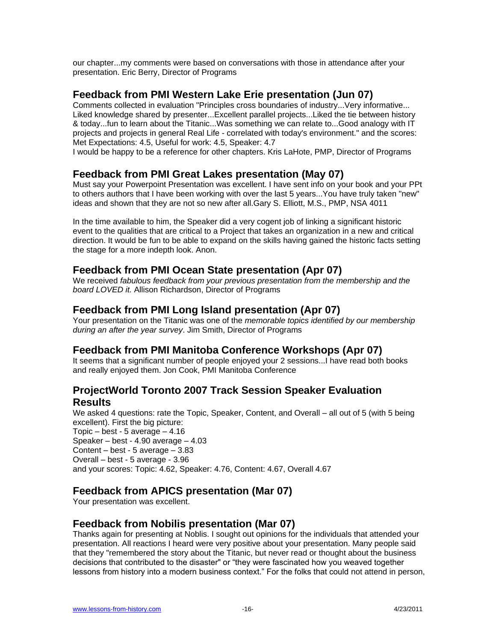our chapter...my comments were based on conversations with those in attendance after your presentation. Eric Berry, Director of Programs

### **Feedback from PMI Western Lake Erie presentation (Jun 07)**

Comments collected in evaluation "Principles cross boundaries of industry...Very informative... Liked knowledge shared by presenter...Excellent parallel projects...Liked the tie between history & today...fun to learn about the Titanic...Was something we can relate to...Good analogy with IT projects and projects in general Real Life - correlated with today's environment." and the scores: Met Expectations: 4.5, Useful for work: 4.5, Speaker: 4.7

I would be happy to be a reference for other chapters. Kris LaHote, PMP, Director of Programs

### **Feedback from PMI Great Lakes presentation (May 07)**

Must say your Powerpoint Presentation was excellent. I have sent info on your book and your PPt to others authors that I have been working with over the last 5 years...You have truly taken "new" ideas and shown that they are not so new after all.Gary S. Elliott, M.S., PMP, NSA 4011

In the time available to him, the Speaker did a very cogent job of linking a significant historic event to the qualities that are critical to a Project that takes an organization in a new and critical direction. It would be fun to be able to expand on the skills having gained the historic facts setting the stage for a more indepth look. Anon.

### **Feedback from PMI Ocean State presentation (Apr 07)**

We received *fabulous feedback from your previous presentation from the membership and the board LOVED it.* Allison Richardson, Director of Programs

### **Feedback from PMI Long Island presentation (Apr 07)**

Your presentation on the Titanic was one of the *memorable topics identified by our membership during an after the year survey*. Jim Smith, Director of Programs

#### **Feedback from PMI Manitoba Conference Workshops (Apr 07)**

It seems that a significant number of people enjoyed your 2 sessions...I have read both books and really enjoyed them. Jon Cook, PMI Manitoba Conference

# **ProjectWorld Toronto 2007 Track Session Speaker Evaluation Results**

We asked 4 questions: rate the Topic, Speaker, Content, and Overall – all out of 5 (with 5 being excellent). First the big picture: Topic – best - 5 average – 4.16 Speaker – best - 4.90 average – 4.03 Content – best - 5 average – 3.83 Overall – best - 5 average - 3.96 and your scores: Topic: 4.62, Speaker: 4.76, Content: 4.67, Overall 4.67

# **Feedback from APICS presentation (Mar 07)**

Your presentation was excellent.

# **Feedback from Nobilis presentation (Mar 07)**

Thanks again for presenting at Noblis. I sought out opinions for the individuals that attended your presentation. All reactions I heard were very positive about your presentation. Many people said that they "remembered the story about the Titanic, but never read or thought about the business decisions that contributed to the disaster" or "they were fascinated how you weaved together lessons from history into a modern business context." For the folks that could not attend in person,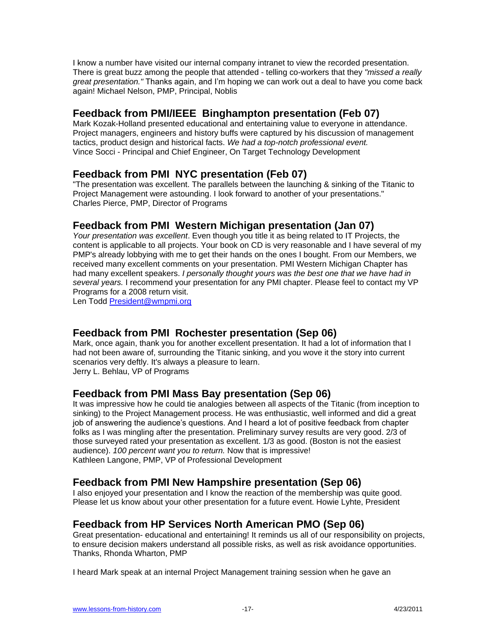I know a number have visited our internal company intranet to view the recorded presentation. There is great buzz among the people that attended - telling co-workers that they *"missed a really great presentation."* Thanks again, and I'm hoping we can work out a deal to have you come back again! Michael Nelson, PMP, Principal, Noblis

# **Feedback from PMI/IEEE Binghampton presentation (Feb 07)**

Mark Kozak-Holland presented educational and entertaining value to everyone in attendance. Project managers, engineers and history buffs were captured by his discussion of management tactics, product design and historical facts. *We had a top-notch professional event.* Vince Socci - Principal and Chief Engineer, On Target Technology Development

# **Feedback from PMI NYC presentation (Feb 07)**

"The presentation was excellent. The parallels between the launching & sinking of the Titanic to Project Management were astounding. I look forward to another of your presentations." Charles Pierce, PMP, Director of Programs

# **Feedback from PMI Western Michigan presentation (Jan 07)**

*Your presentation was excellent*. Even though you title it as being related to IT Projects, the content is applicable to all projects. Your book on CD is very reasonable and I have several of my PMP's already lobbying with me to get their hands on the ones I bought. From our Members, we received many excellent comments on your presentation. PMI Western Michigan Chapter has had many excellent speakers. *I personally thought yours was the best one that we have had in several years.* I recommend your presentation for any PMI chapter. Please feel to contact my VP Programs for a 2008 return visit.

Len Todd [President@wmpmi.org](mailto:President@wmpmi.org)

# **Feedback from PMI Rochester presentation (Sep 06)**

Mark, once again, thank you for another excellent presentation. It had a lot of information that I had not been aware of, surrounding the Titanic sinking, and you wove it the story into current scenarios very deftly. It's always a pleasure to learn. Jerry L. Behlau, VP of Programs

# **Feedback from PMI Mass Bay presentation (Sep 06)**

It was impressive how he could tie analogies between all aspects of the Titanic (from inception to sinking) to the Project Management process. He was enthusiastic, well informed and did a great job of answering the audience's questions. And I heard a lot of positive feedback from chapter folks as I was mingling after the presentation. Preliminary survey results are very good. 2/3 of those surveyed rated your presentation as excellent. 1/3 as good. (Boston is not the easiest audience). *100 percent want you to return.* Now that is impressive! Kathleen Langone, PMP, VP of Professional Development

#### **Feedback from PMI New Hampshire presentation (Sep 06)**

I also enjoyed your presentation and I know the reaction of the membership was quite good. Please let us know about your other presentation for a future event. Howie Lyhte, President

# **Feedback from HP Services North American PMO (Sep 06)**

Great presentation- educational and entertaining! It reminds us all of our responsibility on projects, to ensure decision makers understand all possible risks, as well as risk avoidance opportunities. Thanks, Rhonda Wharton, PMP

I heard Mark speak at an internal Project Management training session when he gave an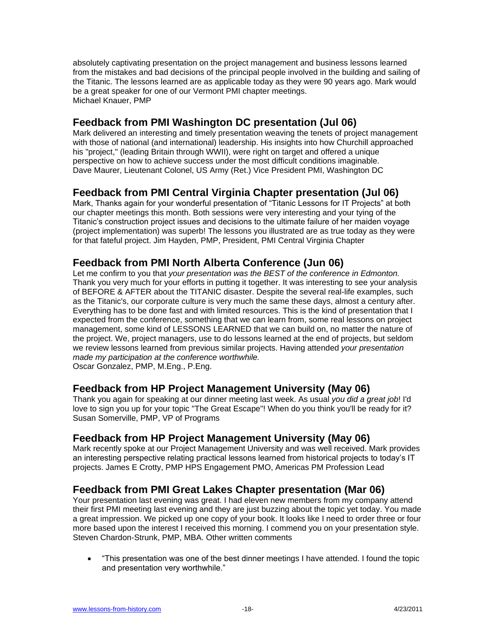absolutely captivating presentation on the project management and business lessons learned from the mistakes and bad decisions of the principal people involved in the building and sailing of the Titanic. The lessons learned are as applicable today as they were 90 years ago. Mark would be a great speaker for one of our Vermont PMI chapter meetings. Michael Knauer, PMP

# **Feedback from PMI Washington DC presentation (Jul 06)**

Mark delivered an interesting and timely presentation weaving the tenets of project management with those of national (and international) leadership. His insights into how Churchill approached his "project," (leading Britain through WWII), were right on target and offered a unique perspective on how to achieve success under the most difficult conditions imaginable. Dave Maurer, Lieutenant Colonel, US Army (Ret.) Vice President PMI, Washington DC

# **Feedback from PMI Central Virginia Chapter presentation (Jul 06)**

Mark, Thanks again for your wonderful presentation of "Titanic Lessons for IT Projects" at both our chapter meetings this month. Both sessions were very interesting and your tying of the Titanic's construction project issues and decisions to the ultimate failure of her maiden voyage (project implementation) was superb! The lessons you illustrated are as true today as they were for that fateful project. Jim Hayden, PMP, President, PMI Central Virginia Chapter

# **Feedback from PMI North Alberta Conference (Jun 06)**

Let me confirm to you that *your presentation was the BEST of the conference in Edmonton.*  Thank you very much for your efforts in putting it together. It was interesting to see your analysis of BEFORE & AFTER about the TITANIC disaster. Despite the several real-life examples, such as the Titanic's, our corporate culture is very much the same these days, almost a century after. Everything has to be done fast and with limited resources. This is the kind of presentation that I expected from the conference, something that we can learn from, some real lessons on project management, some kind of LESSONS LEARNED that we can build on, no matter the nature of the project. We, project managers, use to do lessons learned at the end of projects, but seldom we review lessons learned from previous similar projects. Having attended *your presentation made my participation at the conference worthwhile.*  Oscar Gonzalez, PMP, M.Eng., P.Eng.

# **Feedback from HP Project Management University (May 06)**

Thank you again for speaking at our dinner meeting last week. As usual *you did a great job*! I'd love to sign you up for your topic "The Great Escape"! When do you think you'll be ready for it? Susan Somerville, PMP, VP of Programs

# **Feedback from HP Project Management University (May 06)**

Mark recently spoke at our Project Management University and was well received. Mark provides an interesting perspective relating practical lessons learned from historical projects to today's IT projects. James E Crotty, PMP HPS Engagement PMO, Americas PM Profession Lead

# **Feedback from PMI Great Lakes Chapter presentation (Mar 06)**

Your presentation last evening was great. I had eleven new members from my company attend their first PMI meeting last evening and they are just buzzing about the topic yet today. You made a great impression. We picked up one copy of your book. It looks like I need to order three or four more based upon the interest I received this morning. I commend you on your presentation style. Steven Chardon-Strunk, PMP, MBA. Other written comments

 ―This presentation was one of the best dinner meetings I have attended. I found the topic and presentation very worthwhile."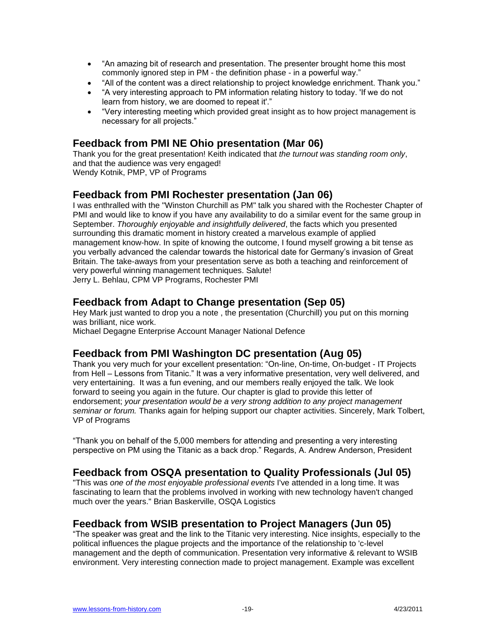- "An amazing bit of research and presentation. The presenter brought home this most commonly ignored step in PM - the definition phase - in a powerful way."
- "All of the content was a direct relationship to project knowledge enrichment. Thank you."
- ―A very interesting approach to PM information relating history to today. 'If we do not learn from history, we are doomed to repeat it"."
- ―Very interesting meeting which provided great insight as to how project management is necessary for all projects."

# **Feedback from PMI NE Ohio presentation (Mar 06)**

Thank you for the great presentation! Keith indicated that *the turnout was standing room only*, and that the audience was very engaged! Wendy Kotnik, PMP, VP of Programs

#### **Feedback from PMI Rochester presentation (Jan 06)**

I was enthralled with the "Winston Churchill as PM" talk you shared with the Rochester Chapter of PMI and would like to know if you have any availability to do a similar event for the same group in September. *Thoroughly enjoyable and insightfully delivered*, the facts which you presented surrounding this dramatic moment in history created a marvelous example of applied management know-how. In spite of knowing the outcome, I found myself growing a bit tense as you verbally advanced the calendar towards the historical date for Germany's invasion of Great Britain. The take-aways from your presentation serve as both a teaching and reinforcement of very powerful winning management techniques. Salute! Jerry L. Behlau, CPM VP Programs, Rochester PMI

### **Feedback from Adapt to Change presentation (Sep 05)**

Hey Mark just wanted to drop you a note , the presentation (Churchill) you put on this morning was brilliant, nice work. Michael Degagne Enterprise Account Manager National Defence

# **Feedback from PMI Washington DC presentation (Aug 05)**

Thank you very much for your excellent presentation: "On-line, On-time, On-budget - IT Projects from Hell – Lessons from Titanic." It was a very informative presentation, very well delivered, and very entertaining. It was a fun evening, and our members really enjoyed the talk. We look forward to seeing you again in the future. Our chapter is glad to provide this letter of endorsement; *your presentation would be a very strong addition to any project management seminar or forum.* Thanks again for helping support our chapter activities. Sincerely, Mark Tolbert, VP of Programs

―Thank you on behalf of the 5,000 members for attending and presenting a very interesting perspective on PM using the Titanic as a back drop." Regards, A. Andrew Anderson, President

#### **Feedback from OSQA presentation to Quality Professionals (Jul 05)**

"This was *one of the most enjoyable professional events* I've attended in a long time. It was fascinating to learn that the problems involved in working with new technology haven't changed much over the years." Brian Baskerville, OSQA Logistics

#### **Feedback from WSIB presentation to Project Managers (Jun 05)**

―The speaker was great and the link to the Titanic very interesting. Nice insights, especially to the political influences the plague projects and the importance of the relationship to 'c-level management and the depth of communication. Presentation very informative & relevant to WSIB environment. Very interesting connection made to project management. Example was excellent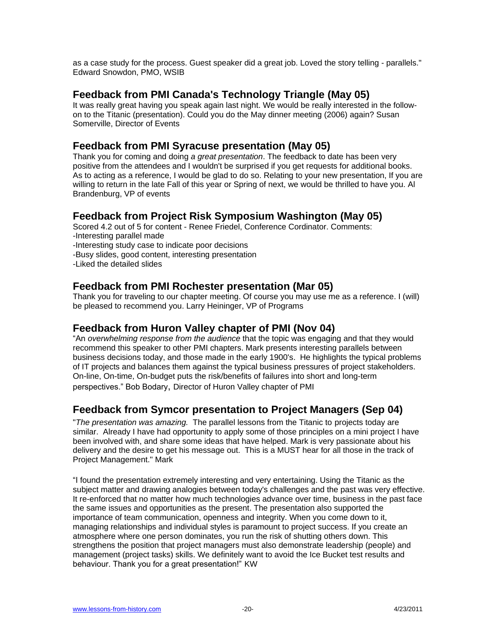as a case study for the process. Guest speaker did a great job. Loved the story telling - parallels." Edward Snowdon, PMO, WSIB

#### **Feedback from PMI [Canada's Technology Triangle](http://www.pmi-ctt.org/) (May 05)**

It was really great having you speak again last night. We would be really interested in the followon to the Titanic (presentation). Could you do the May dinner meeting (2006) again? Susan Somerville, Director of Events

## **Feedback from PMI Syracuse presentation (May 05)**

Thank you for coming and doing *a great presentation*. The feedback to date has been very positive from the attendees and I wouldn't be surprised if you get requests for additional books. As to acting as a reference, I would be glad to do so. Relating to your new presentation, If you are willing to return in the late Fall of this year or Spring of next, we would be thrilled to have you. Al Brandenburg, VP of events

# **Feedback from Project Risk Symposium Washington (May 05)**

Scored 4.2 out of 5 for content - Renee Friedel, Conference Cordinator. Comments: -Interesting parallel made -Interesting study case to indicate poor decisions -Busy slides, good content, interesting presentation -Liked the detailed slides

# **Feedback from PMI Rochester presentation (Mar 05)**

Thank you for traveling to our chapter meeting. Of course you may use me as a reference. I (will) be pleased to recommend you. Larry Heininger, VP of Programs

# **Feedback from Huron Valley chapter of PMI (Nov 04)**

―An *overwhelming response from the audience* that the topic was engaging and that they would recommend this speaker to other PMI chapters. Mark presents interesting parallels between business decisions today, and those made in the early 1900's. He highlights the typical problems of IT projects and balances them against the typical business pressures of project stakeholders. On-line, On-time, On-budget puts the risk/benefits of failures into short and long-term perspectives.‖ Bob Bodary, Director of Huron Valley chapter of PMI

# **Feedback from Symcor presentation to Project Managers (Sep 04)**

"*The presentation was amazing.* The parallel lessons from the Titanic to projects today are similar. Already I have had opportunity to apply some of those principles on a mini project I have been involved with, and share some ideas that have helped. Mark is very passionate about his delivery and the desire to get his message out. This is a MUST hear for all those in the track of Project Management." Mark

"I found the presentation extremely interesting and very entertaining. Using the Titanic as the subject matter and drawing analogies between today's challenges and the past was very effective. It re-enforced that no matter how much technologies advance over time, business in the past face the same issues and opportunities as the present. The presentation also supported the importance of team communication, openness and integrity. When you come down to it, managing relationships and individual styles is paramount to project success. If you create an atmosphere where one person dominates, you run the risk of shutting others down. This strengthens the position that project managers must also demonstrate leadership (people) and management (project tasks) skills. We definitely want to avoid the Ice Bucket test results and behaviour. Thank you for a great presentation!" KW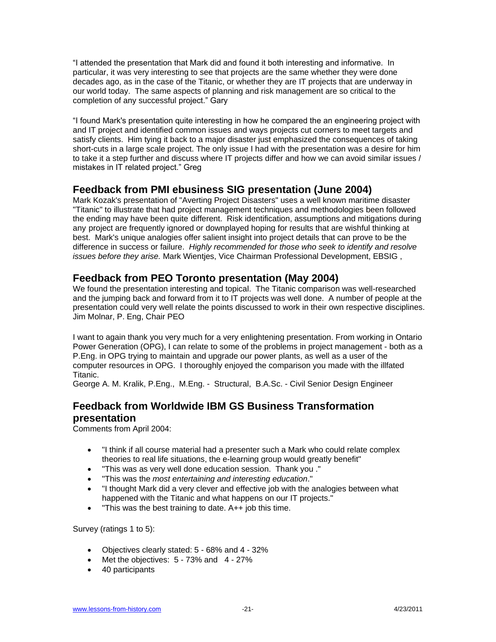"I attended the presentation that Mark did and found it both interesting and informative. In particular, it was very interesting to see that projects are the same whether they were done decades ago, as in the case of the Titanic, or whether they are IT projects that are underway in our world today. The same aspects of planning and risk management are so critical to the completion of any successful project." Gary

"I found Mark's presentation quite interesting in how he compared the an engineering project with and IT project and identified common issues and ways projects cut corners to meet targets and satisfy clients. Him tying it back to a major disaster just emphasized the consequences of taking short-cuts in a large scale project. The only issue I had with the presentation was a desire for him to take it a step further and discuss where IT projects differ and how we can avoid similar issues / mistakes in IT related project." Greg

#### **Feedback from PMI ebusiness SIG presentation (June 2004)**

Mark Kozak's presentation of "Averting Project Disasters" uses a well known maritime disaster "Titanic" to illustrate that had project management techniques and methodologies been followed the ending may have been quite different. Risk identification, assumptions and mitigations during any project are frequently ignored or downplayed hoping for results that are wishful thinking at best. Mark's unique analogies offer salient insight into project details that can prove to be the difference in success or failure. *Highly recommended for those who seek to identify and resolve issues before they arise.* Mark Wientjes, Vice Chairman Professional Development, EBSIG ,

# **Feedback from PEO Toronto presentation (May 2004)**

We found the presentation interesting and topical. The Titanic comparison was well-researched and the jumping back and forward from it to IT projects was well done. A number of people at the presentation could very well relate the points discussed to work in their own respective disciplines. Jim Molnar, P. Eng, Chair PEO

I want to again thank you very much for a very enlightening presentation. From working in Ontario Power Generation (OPG), I can relate to some of the problems in project management - both as a P.Eng. in OPG trying to maintain and upgrade our power plants, as well as a user of the computer resources in OPG. I thoroughly enjoyed the comparison you made with the illfated Titanic.

George A. M. Kralik, P.Eng., M.Eng. - Structural, B.A.Sc. - Civil Senior Design Engineer

# **Feedback from Worldwide IBM GS Business Transformation presentation**

Comments from April 2004:

- "I think if all course material had a presenter such a Mark who could relate complex theories to real life situations, the e-learning group would greatly benefit"
- "This was as very well done education session. Thank you ."
- "This was the *most entertaining and interesting education*."
- "I thought Mark did a very clever and effective job with the analogies between what happened with the Titanic and what happens on our IT projects."
- "This was the best training to date. A++ job this time.

Survey (ratings 1 to 5):

- Objectives clearly stated: 5 68% and 4 32%
- $\bullet$  Met the objectives:  $5 73\%$  and  $4 27\%$
- 40 participants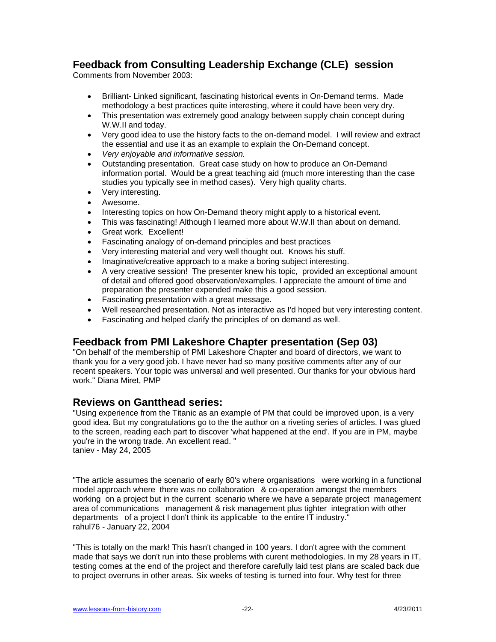# **Feedback from Consulting Leadership Exchange (CLE) session**

Comments from November 2003:

- Brilliant- Linked significant, fascinating historical events in On-Demand terms. Made methodology a best practices quite interesting, where it could have been very dry.
- This presentation was extremely good analogy between supply chain concept during W.W.II and today.
- Very good idea to use the history facts to the on-demand model. I will review and extract the essential and use it as an example to explain the On-Demand concept.
- *Very enjoyable and informative session.*
- Outstanding presentation. Great case study on how to produce an On-Demand information portal. Would be a great teaching aid (much more interesting than the case studies you typically see in method cases). Very high quality charts.
- Very interesting.
- Awesome.
- Interesting topics on how On-Demand theory might apply to a historical event.
- This was fascinating! Although I learned more about W.W.II than about on demand.
- Great work. Excellent!
- Fascinating analogy of on-demand principles and best practices
- Very interesting material and very well thought out. Knows his stuff.
- Imaginative/creative approach to a make a boring subject interesting.
- A very creative session! The presenter knew his topic, provided an exceptional amount of detail and offered good observation/examples. I appreciate the amount of time and preparation the presenter expended make this a good session.
- Fascinating presentation with a great message.
- Well researched presentation. Not as interactive as I'd hoped but very interesting content.
- Fascinating and helped clarify the principles of on demand as well.

# **Feedback from PMI Lakeshore Chapter presentation (Sep 03)**

"On behalf of the membership of PMI Lakeshore Chapter and board of directors, we want to thank you for a very good job. I have never had so many positive comments after any of our recent speakers. Your topic was universal and well presented. Our thanks for your obvious hard work." Diana Miret, PMP

#### **Reviews on Gantthead series:**

"Using experience from the Titanic as an example of PM that could be improved upon, is a very good idea. But my congratulations go to the the author on a riveting series of articles. I was glued to the screen, reading each part to discover 'what happened at the end'. If you are in PM, maybe you're in the wrong trade. An excellent read. " taniev - May 24, 2005

"The article assumes the scenario of early 80's where organisations were working in a functional model approach where there was no collaboration & co-operation amongst the members working on a project but in the current scenario where we have a separate project management area of communications management & risk management plus tighter integration with other departments of a project I don't think its applicable to the entire IT industry." rahul76 - January 22, 2004

"This is totally on the mark! This hasn't changed in 100 years. I don't agree with the comment made that says we don't run into these problems with curent methodologies. In my 28 years in IT, testing comes at the end of the project and therefore carefully laid test plans are scaled back due to project overruns in other areas. Six weeks of testing is turned into four. Why test for three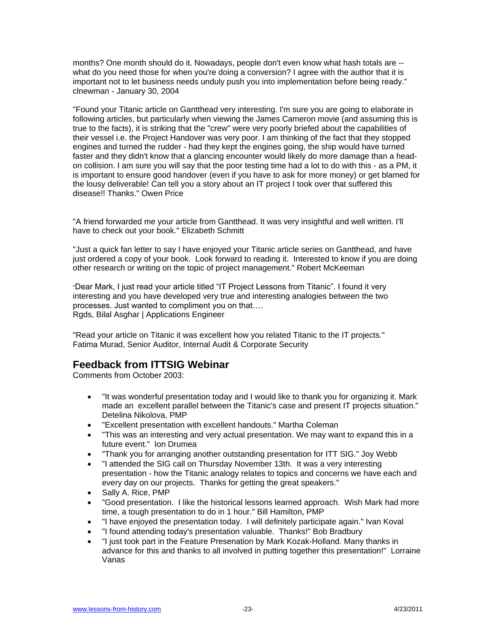months? One month should do it. Nowadays, people don't even know what hash totals are - what do you need those for when you're doing a conversion? I agree with the author that it is important not to let business needs unduly push you into implementation before being ready." clnewman - January 30, 2004

"Found your Titanic article on Gantthead very interesting. I'm sure you are going to elaborate in following articles, but particularly when viewing the James Cameron movie (and assuming this is true to the facts), it is striking that the "crew" were very poorly briefed about the capabilities of their vessel i.e. the Project Handover was very poor. I am thinking of the fact that they stopped engines and turned the rudder - had they kept the engines going, the ship would have turned faster and they didn't know that a glancing encounter would likely do more damage than a headon collision. I am sure you will say that the poor testing time had a lot to do with this - as a PM, it is important to ensure good handover (even if you have to ask for more money) or get blamed for the lousy deliverable! Can tell you a story about an IT project I took over that suffered this disease!! Thanks." Owen Price

"A friend forwarded me your article from Gantthead. It was very insightful and well written. I'll have to check out your book." Elizabeth Schmitt

"Just a quick fan letter to say I have enjoyed your Titanic article series on Gantthead, and have just ordered a copy of your book. Look forward to reading it. Interested to know if you are doing other research or writing on the topic of project management." Robert McKeeman

"Dear Mark, I just read your article titled "IT Project Lessons from Titanic". I found it very interesting and you have developed very true and interesting analogies between the two processes. Just wanted to compliment you on that…. Rgds, Bilal Asghar | Applications Engineer

"Read your article on Titanic it was excellent how you related Titanic to the IT projects." Fatima Murad, Senior Auditor, Internal Audit & Corporate Security

# **Feedback from ITTSIG Webinar**

Comments from October 2003:

- "It was wonderful presentation today and I would like to thank you for organizing it. Mark made an excellent parallel between the Titanic's case and present IT projects situation." Detelina Nikolova, PMP
- "Excellent presentation with excellent handouts." Martha Coleman
- "This was an interesting and very actual presentation. We may want to expand this in a future event." Ion Drumea
- "Thank you for arranging another outstanding presentation for ITT SIG." Joy Webb
- "I attended the SIG call on Thursday November 13th. It was a very interesting presentation - how the Titanic analogy relates to topics and concerns we have each and every day on our projects. Thanks for getting the great speakers."
- Sally A. Rice, PMP
- "Good presentation. I like the historical lessons learned approach. Wish Mark had more time, a tough presentation to do in 1 hour." Bill Hamilton, PMP
- "I have enjoyed the presentation today. I will definitely participate again." Ivan Koval
- "I found attending today's presentation valuable. Thanks!" Bob Bradbury
- "I just took part in the Feature Presenation by Mark Kozak-Holland. Many thanks in advance for this and thanks to all involved in putting together this presentation!" Lorraine Vanas